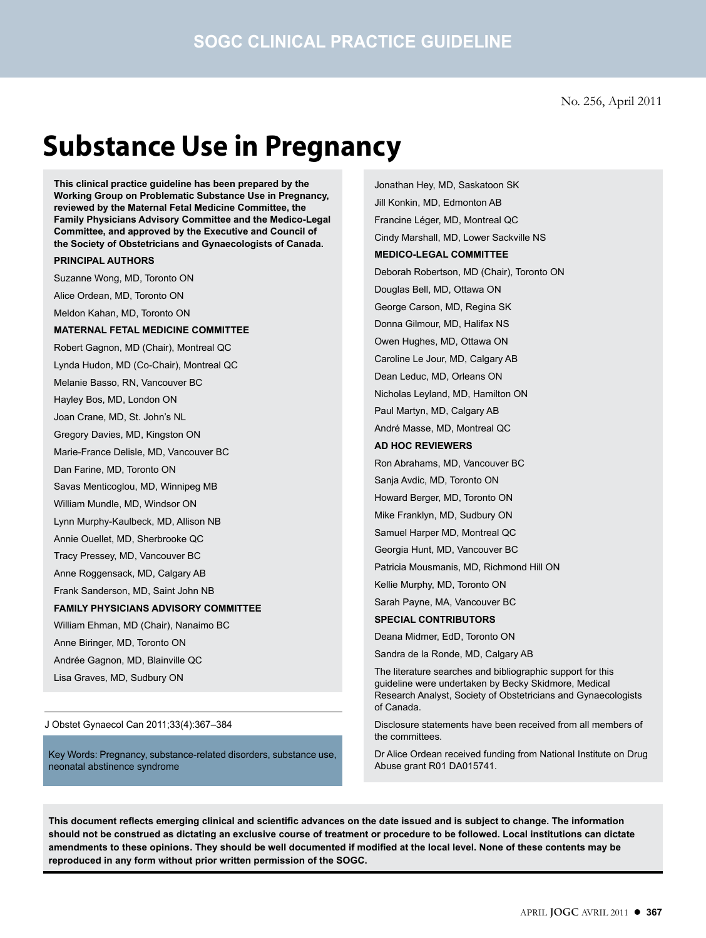No. 256, April 2011

# **Substance Use in Pregnancy**

**This clinical practice guideline has been prepared by the Working Group on Problematic Substance Use in Pregnancy, reviewed by the Maternal Fetal Medicine Committee, the Family Physicians Advisory Committee and the Medico-Legal Committee, and approved by the Executive and Council of the Society of Obstetricians and Gynaecologists of Canada.**

#### **PRINCIPAL AUTHORS**

Suzanne Wong, MD, Toronto ON Alice Ordean, MD, Toronto ON Meldon Kahan, MD, Toronto ON **MATERNAL FETAL MEDICINE COMMITTEE**

Robert Gagnon, MD (Chair), Montreal QC Lynda Hudon, MD (Co-Chair), Montreal QC Melanie Basso, RN, Vancouver BC Hayley Bos, MD, London ON Joan Crane, MD, St. John's NL Gregory Davies, MD, Kingston ON Marie-France Delisle, MD, Vancouver BC Dan Farine, MD, Toronto ON Savas Menticoglou, MD, Winnipeg MB William Mundle, MD, Windsor ON Lynn Murphy-Kaulbeck, MD, Allison NB Annie Ouellet, MD, Sherbrooke QC Tracy Pressey, MD, Vancouver BC Anne Roggensack, MD, Calgary AB Frank Sanderson, MD, Saint John NB **FAMILY PHYSICIANS ADVISORY COMMITTEE** William Ehman, MD (Chair), Nanaimo BC Anne Biringer, MD, Toronto ON Andrée Gagnon, MD, Blainville QC Lisa Graves, MD, Sudbury ON

J Obstet Gynaecol Can 2011;33(4):367–384

Key Words: Pregnancy, substance-related disorders, substance use, neonatal abstinence syndrome

Jonathan Hey, MD, Saskatoon SK Jill Konkin, MD, Edmonton AB Francine Léger, MD, Montreal QC Cindy Marshall, MD, Lower Sackville NS **MEDICO-LEGAL COMMITTEE** Deborah Robertson, MD (Chair), Toronto ON Douglas Bell, MD, Ottawa ON George Carson, MD, Regina SK Donna Gilmour, MD, Halifax NS Owen Hughes, MD, Ottawa ON Caroline Le Jour, MD, Calgary AB Dean Leduc, MD, Orleans ON Nicholas Leyland, MD, Hamilton ON Paul Martyn, MD, Calgary AB André Masse, MD, Montreal QC **AD HOC REVIEWERS** Ron Abrahams, MD, Vancouver BC Sanja Avdic, MD, Toronto ON Howard Berger, MD, Toronto ON Mike Franklyn, MD, Sudbury ON Samuel Harper MD, Montreal QC Georgia Hunt, MD, Vancouver BC Patricia Mousmanis, MD, Richmond Hill ON Kellie Murphy, MD, Toronto ON Sarah Payne, MA, Vancouver BC **SPECIAL CONTRIBUTORS** Deana Midmer, EdD, Toronto ON Sandra de la Ronde, MD, Calgary AB The literature searches and bibliographic support for this guideline were undertaken by Becky Skidmore, Medical Research Analyst, Society of Obstetricians and Gynaecologists of Canada. Disclosure statements have been received from all members of the committees.

Dr Alice Ordean received funding from National Institute on Drug Abuse grant R01 DA015741.

**This document reflects emerging clinical and scientific advances on the date issued and is subject to change. The information should not be construed as dictating an exclusive course of treatment or procedure to be followed. Local institutions can dictate amendments to these opinions. They should be well documented if modified at the local level. None of these contents may be reproduced in any form without prior written permission of the SOGC.**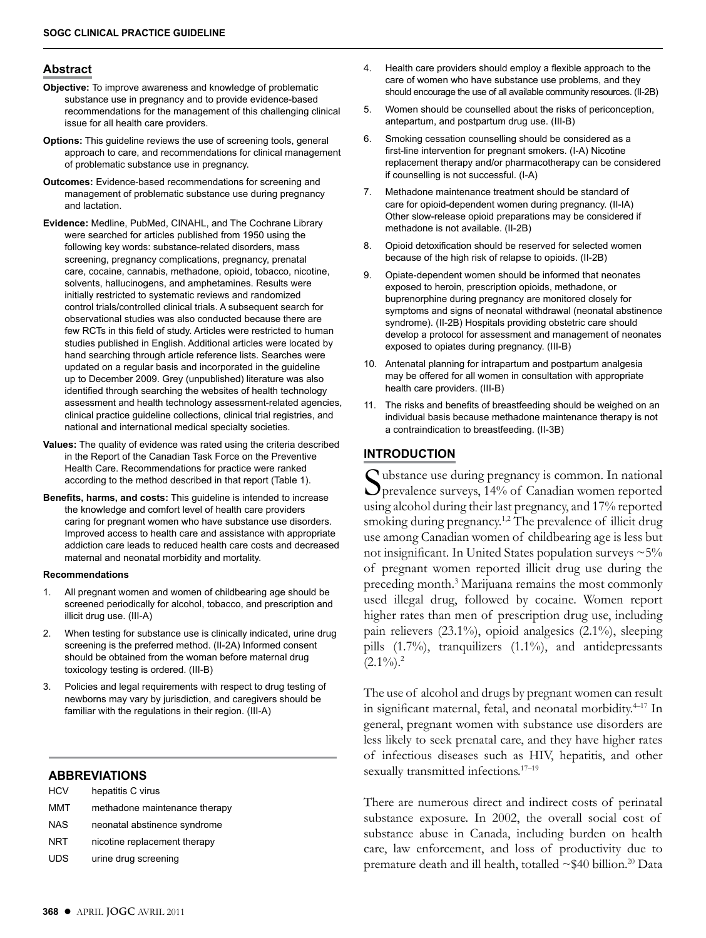#### **Abstract**

- **Objective:** To improve awareness and knowledge of problematic substance use in pregnancy and to provide evidence-based recommendations for the management of this challenging clinical issue for all health care providers.
- **Options:** This guideline reviews the use of screening tools, general approach to care, and recommendations for clinical management of problematic substance use in pregnancy.
- **Outcomes:** Evidence-based recommendations for screening and management of problematic substance use during pregnancy and lactation.
- **Evidence:** Medline, PubMed, CINAHL, and The Cochrane Library were searched for articles published from 1950 using the following key words: substance-related disorders, mass screening, pregnancy complications, pregnancy, prenatal care, cocaine, cannabis, methadone, opioid, tobacco, nicotine, solvents, hallucinogens, and amphetamines. Results were initially restricted to systematic reviews and randomized control trials/controlled clinical trials. A subsequent search for observational studies was also conducted because there are few RCTs in this field of study. Articles were restricted to human studies published in English. Additional articles were located by hand searching through article reference lists. Searches were updated on a regular basis and incorporated in the guideline up to December 2009. Grey (unpublished) literature was also identified through searching the websites of health technology assessment and health technology assessment-related agencies, clinical practice guideline collections, clinical trial registries, and national and international medical specialty societies.
- **Values:** The quality of evidence was rated using the criteria described in the Report of the Canadian Task Force on the Preventive Health Care. Recommendations for practice were ranked according to the method described in that report (Table 1).
- **Benefits, harms, and costs:** This guideline is intended to increase the knowledge and comfort level of health care providers caring for pregnant women who have substance use disorders. Improved access to health care and assistance with appropriate addiction care leads to reduced health care costs and decreased maternal and neonatal morbidity and mortality.

#### **Recommendations**

- 1. All pregnant women and women of childbearing age should be screened periodically for alcohol, tobacco, and prescription and illicit drug use. (III-A)
- 2. When testing for substance use is clinically indicated, urine drug screening is the preferred method. (II-2A) Informed consent should be obtained from the woman before maternal drug toxicology testing is ordered. (III-B)
- 3. Policies and legal requirements with respect to drug testing of newborns may vary by jurisdiction, and caregivers should be familiar with the regulations in their region. (III-A)

#### **ABBREVIATIONS**

| <b>HCV</b> | hepatitis C virus             |
|------------|-------------------------------|
| MMT        | methadone maintenance therapy |
| <b>NAS</b> | neonatal abstinence syndrome  |
| <b>NRT</b> | nicotine replacement therapy  |
| <b>UDS</b> | urine drug screening          |

- 4. Health care providers should employ a flexible approach to the care of women who have substance use problems, and they should encourage the use of all available community resources. (II-2B)
- 5. Women should be counselled about the risks of periconception, antepartum, and postpartum drug use. (III-B)
- 6. Smoking cessation counselling should be considered as a first-line intervention for pregnant smokers. (I-A) Nicotine replacement therapy and/or pharmacotherapy can be considered if counselling is not successful. (I-A)
- 7. Methadone maintenance treatment should be standard of care for opioid-dependent women during pregnancy. (II-IA) Other slow-release opioid preparations may be considered if methadone is not available. (II-2B)
- 8. Opioid detoxification should be reserved for selected women because of the high risk of relapse to opioids. (II-2B)
- 9. Opiate-dependent women should be informed that neonates exposed to heroin, prescription opioids, methadone, or buprenorphine during pregnancy are monitored closely for symptoms and signs of neonatal withdrawal (neonatal abstinence syndrome). (II-2B) Hospitals providing obstetric care should develop a protocol for assessment and management of neonates exposed to opiates during pregnancy. (III-B)
- 10. Antenatal planning for intrapartum and postpartum analgesia may be offered for all women in consultation with appropriate health care providers. (III-B)
- 11. The risks and benefits of breastfeeding should be weighed on an individual basis because methadone maintenance therapy is not a contraindication to breastfeeding. (II-3B)

#### **Introduction**

Substance use during pregnancy is common. In national<br>prevalence surveys, 14% of Canadian women reported using alcohol during their last pregnancy, and 17% reported smoking during pregnancy.<sup>1,2</sup> The prevalence of illicit drug use among Canadian women of childbearing age is less but not insignificant. In United States population surveys  $\sim 5\%$ of pregnant women reported illicit drug use during the preceding month.3 Marijuana remains the most commonly used illegal drug, followed by cocaine. Women report higher rates than men of prescription drug use, including pain relievers (23.1%), opioid analgesics (2.1%), sleeping pills (1.7%), tranquilizers (1.1%), and antidepressants  $(2.1\%)$ <sup>2</sup>

The use of alcohol and drugs by pregnant women can result in significant maternal, fetal, and neonatal morbidity. $4-17$  In general, pregnant women with substance use disorders are less likely to seek prenatal care, and they have higher rates of infectious diseases such as HIV, hepatitis, and other sexually transmitted infections.<sup>17-19</sup>

There are numerous direct and indirect costs of perinatal substance exposure. In 2002, the overall social cost of substance abuse in Canada, including burden on health care, law enforcement, and loss of productivity due to premature death and ill health, totalled ~\$40 billion.20 Data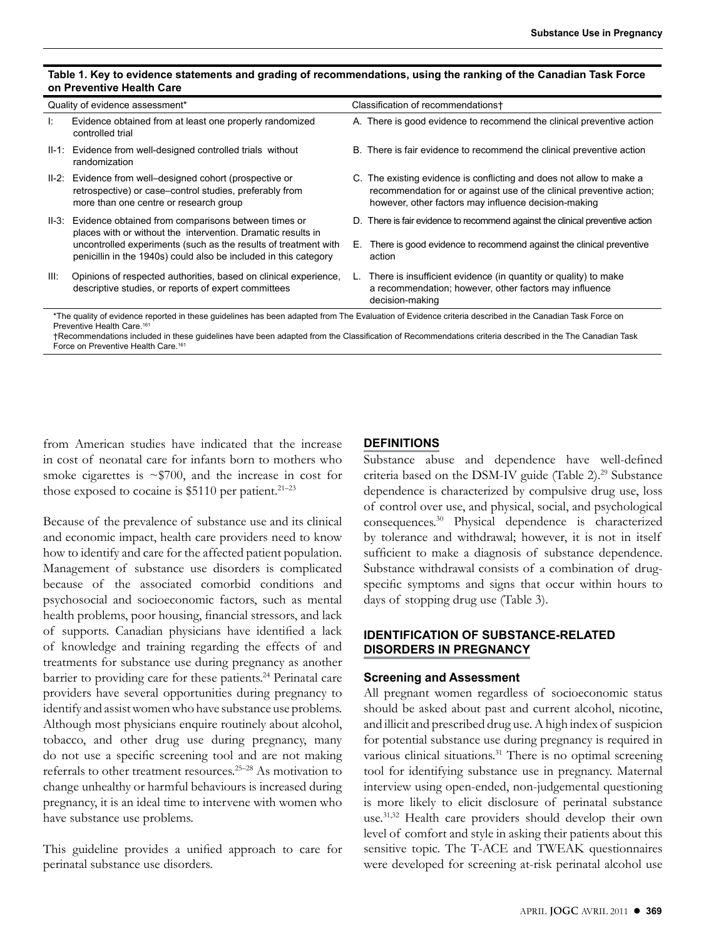#### **Table 1. Key to evidence statements and grading of recommendations, using the ranking of the Canadian Task Force on Preventive Health Care**

| Quality of evidence assessment*                                                                                                                         |                                                                                                                                                               | Classification of recommendations+ |                                                                                                                                                                                                      |  |
|---------------------------------------------------------------------------------------------------------------------------------------------------------|---------------------------------------------------------------------------------------------------------------------------------------------------------------|------------------------------------|------------------------------------------------------------------------------------------------------------------------------------------------------------------------------------------------------|--|
| Ŀ.                                                                                                                                                      | Evidence obtained from at least one properly randomized<br>controlled trial                                                                                   |                                    | A. There is good evidence to recommend the clinical preventive action                                                                                                                                |  |
|                                                                                                                                                         | II-1: Evidence from well-designed controlled trials without<br>randomization                                                                                  |                                    | B. There is fair evidence to recommend the clinical preventive action                                                                                                                                |  |
|                                                                                                                                                         | II-2: Evidence from well-designed cohort (prospective or<br>retrospective) or case–control studies, preferably from<br>more than one centre or research group |                                    | C. The existing evidence is conflicting and does not allow to make a<br>recommendation for or against use of the clinical preventive action;<br>however, other factors may influence decision-making |  |
|                                                                                                                                                         | II-3: Evidence obtained from comparisons between times or<br>places with or without the intervention. Dramatic results in                                     |                                    | D. There is fair evidence to recommend against the clinical preventive action                                                                                                                        |  |
|                                                                                                                                                         | uncontrolled experiments (such as the results of treatment with<br>penicillin in the 1940s) could also be included in this category                           | Е.                                 | There is good evidence to recommend against the clinical preventive<br>action                                                                                                                        |  |
| III:                                                                                                                                                    | Opinions of respected authorities, based on clinical experience,<br>descriptive studies, or reports of expert committees                                      |                                    | There is insufficient evidence (in quantity or quality) to make<br>a recommendation; however, other factors may influence<br>decision-making                                                         |  |
| *The quality of evidence reported in these guidelines has been adapted from The Evaluation of Evidence criteria described in the Canadian Task Force on |                                                                                                                                                               |                                    |                                                                                                                                                                                                      |  |

Preventive Health Care. 161 †Recommendations included in these guidelines have been adapted from the Classification of Recommendations criteria described in the The Canadian Task

Force on Preventive Health Care. 161

from American studies have indicated that the increase in cost of neonatal care for infants born to mothers who smoke cigarettes is  $\sim$ \$700, and the increase in cost for those exposed to cocaine is  $$5110$  per patient.<sup>21-23</sup>

Because of the prevalence of substance use and its clinical and economic impact, health care providers need to know how to identify and care for the affected patient population. Management of substance use disorders is complicated because of the associated comorbid conditions and psychosocial and socioeconomic factors, such as mental health problems, poor housing, financial stressors, and lack of supports. Canadian physicians have identified a lack of knowledge and training regarding the effects of and treatments for substance use during pregnancy as another barrier to providing care for these patients.<sup>24</sup> Perinatal care providers have several opportunities during pregnancy to identify and assist women who have substance use problems. Although most physicians enquire routinely about alcohol, tobacco, and other drug use during pregnancy, many do not use a specific screening tool and are not making referrals to other treatment resources.25–28 As motivation to change unhealthy or harmful behaviours is increased during pregnancy, it is an ideal time to intervene with women who have substance use problems.

This guideline provides a unified approach to care for perinatal substance use disorders.

# **DEFINITIONS**

Substance abuse and dependence have well-defined criteria based on the DSM-IV guide (Table 2).<sup>29</sup> Substance dependence is characterized by compulsive drug use, loss of control over use, and physical, social, and psychological consequences.30 Physical dependence is characterized by tolerance and withdrawal; however, it is not in itself sufficient to make a diagnosis of substance dependence. Substance withdrawal consists of a combination of drugspecific symptoms and signs that occur within hours to days of stopping drug use (Table 3).

# **identification of substance-related disorders in pregnancy**

# **Screening and Assessment**

All pregnant women regardless of socioeconomic status should be asked about past and current alcohol, nicotine, and illicit and prescribed drug use. A high index of suspicion for potential substance use during pregnancy is required in various clinical situations.<sup>31</sup> There is no optimal screening tool for identifying substance use in pregnancy. Maternal interview using open-ended, non-judgemental questioning is more likely to elicit disclosure of perinatal substance use.<sup>31,32</sup> Health care providers should develop their own level of comfort and style in asking their patients about this sensitive topic. The T-ACE and TWEAK questionnaires were developed for screening at-risk perinatal alcohol use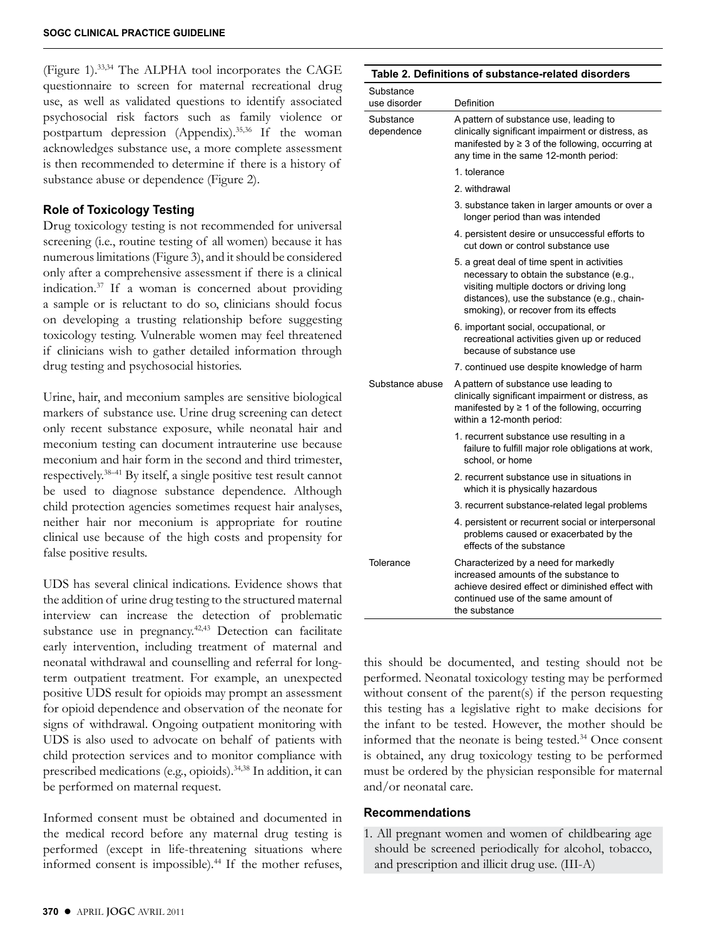(Figure 1).33,34 The ALPHA tool incorporates the CAGE questionnaire to screen for maternal recreational drug use, as well as validated questions to identify associated psychosocial risk factors such as family violence or postpartum depression (Appendix).35,36 If the woman acknowledges substance use, a more complete assessment is then recommended to determine if there is a history of substance abuse or dependence (Figure 2).

# **Role of Toxicology Testing**

Drug toxicology testing is not recommended for universal screening (i.e., routine testing of all women) because it has numerous limitations (Figure 3), and it should be considered only after a comprehensive assessment if there is a clinical indication.37 If a woman is concerned about providing a sample or is reluctant to do so, clinicians should focus on developing a trusting relationship before suggesting toxicology testing. Vulnerable women may feel threatened if clinicians wish to gather detailed information through drug testing and psychosocial histories.

Urine, hair, and meconium samples are sensitive biological markers of substance use. Urine drug screening can detect only recent substance exposure, while neonatal hair and meconium testing can document intrauterine use because meconium and hair form in the second and third trimester, respectively.38–41 By itself, a single positive test result cannot be used to diagnose substance dependence. Although child protection agencies sometimes request hair analyses, neither hair nor meconium is appropriate for routine clinical use because of the high costs and propensity for false positive results.

UDS has several clinical indications. Evidence shows that the addition of urine drug testing to the structured maternal interview can increase the detection of problematic substance use in pregnancy.<sup>42,43</sup> Detection can facilitate early intervention, including treatment of maternal and neonatal withdrawal and counselling and referral for longterm outpatient treatment. For example, an unexpected positive UDS result for opioids may prompt an assessment for opioid dependence and observation of the neonate for signs of withdrawal. Ongoing outpatient monitoring with UDS is also used to advocate on behalf of patients with child protection services and to monitor compliance with prescribed medications (e.g., opioids).34,38 In addition, it can be performed on maternal request.

Informed consent must be obtained and documented in the medical record before any maternal drug testing is performed (except in life-threatening situations where informed consent is impossible).<sup>44</sup> If the mother refuses,

# **Table 2. Definitions of substance-related disorders**

| Substance<br>use disorder<br>Definition |                                                                                                                                                                                                                              |  |
|-----------------------------------------|------------------------------------------------------------------------------------------------------------------------------------------------------------------------------------------------------------------------------|--|
| Substance<br>dependence                 | A pattern of substance use, leading to<br>clinically significant impairment or distress, as<br>manifested by $\geq 3$ of the following, occurring at                                                                         |  |
|                                         | any time in the same 12-month period:                                                                                                                                                                                        |  |
|                                         | 1. tolerance                                                                                                                                                                                                                 |  |
|                                         | 2. withdrawal                                                                                                                                                                                                                |  |
|                                         | 3. substance taken in larger amounts or over a<br>longer period than was intended                                                                                                                                            |  |
|                                         | 4. persistent desire or unsuccessful efforts to<br>cut down or control substance use                                                                                                                                         |  |
|                                         | 5. a great deal of time spent in activities<br>necessary to obtain the substance (e.g.,<br>visiting multiple doctors or driving long<br>distances), use the substance (e.g., chain-<br>smoking), or recover from its effects |  |
|                                         | 6. important social, occupational, or<br>recreational activities given up or reduced<br>because of substance use                                                                                                             |  |
|                                         | 7. continued use despite knowledge of harm                                                                                                                                                                                   |  |
| Substance abuse                         | A pattern of substance use leading to<br>clinically significant impairment or distress, as<br>manifested by $\geq 1$ of the following, occurring<br>within a 12-month period:                                                |  |
|                                         | 1. recurrent substance use resulting in a<br>failure to fulfill major role obligations at work,<br>school, or home                                                                                                           |  |
|                                         | 2. recurrent substance use in situations in<br>which it is physically hazardous                                                                                                                                              |  |
|                                         | 3. recurrent substance-related legal problems                                                                                                                                                                                |  |
|                                         | 4. persistent or recurrent social or interpersonal<br>problems caused or exacerbated by the<br>effects of the substance                                                                                                      |  |
| Tolerance                               | Characterized by a need for markedly<br>increased amounts of the substance to<br>achieve desired effect or diminished effect with<br>continued use of the same amount of<br>the substance                                    |  |

this should be documented, and testing should not be performed. Neonatal toxicology testing may be performed without consent of the parent(s) if the person requesting this testing has a legislative right to make decisions for the infant to be tested. However, the mother should be informed that the neonate is being tested.34 Once consent is obtained, any drug toxicology testing to be performed must be ordered by the physician responsible for maternal and/or neonatal care.

## **Recommendations**

1. All pregnant women and women of childbearing age should be screened periodically for alcohol, tobacco, and prescription and illicit drug use. (III-A)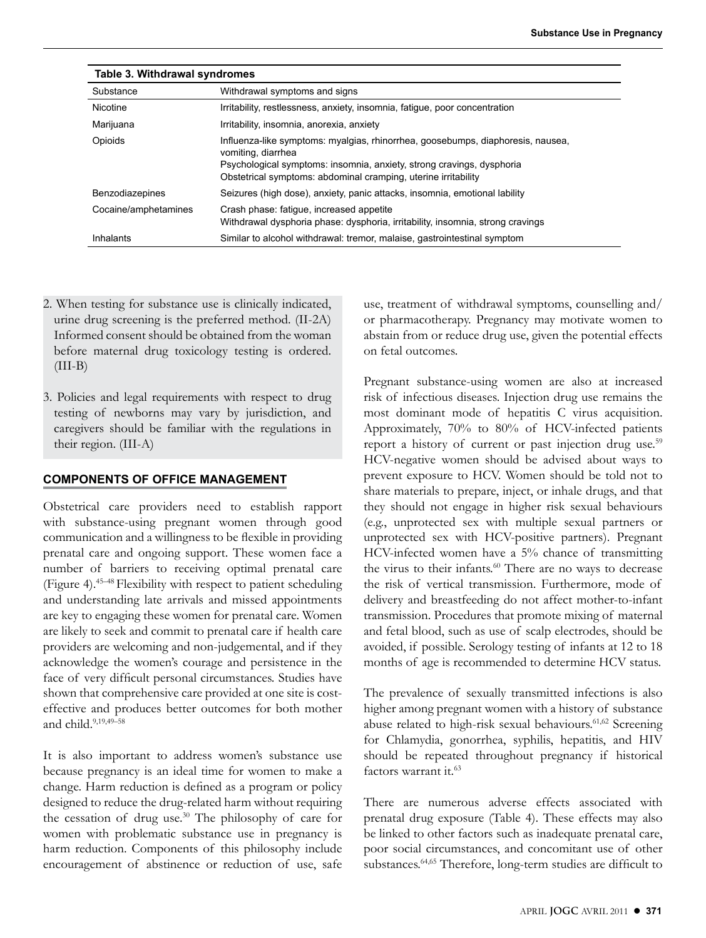| Table 3. Withdrawal syndromes                                                                                                                      |                                                                                                                                                                                                                                                  |  |  |
|----------------------------------------------------------------------------------------------------------------------------------------------------|--------------------------------------------------------------------------------------------------------------------------------------------------------------------------------------------------------------------------------------------------|--|--|
| Substance                                                                                                                                          | Withdrawal symptoms and signs                                                                                                                                                                                                                    |  |  |
| Nicotine                                                                                                                                           | Irritability, restlessness, anxiety, insomnia, fatique, poor concentration                                                                                                                                                                       |  |  |
| Irritability, insomnia, anorexia, anxiety<br>Marijuana                                                                                             |                                                                                                                                                                                                                                                  |  |  |
| Opioids                                                                                                                                            | Influenza-like symptoms: myalgias, rhinorrhea, goosebumps, diaphoresis, nausea,<br>vomiting, diarrhea<br>Psychological symptoms: insomnia, anxiety, strong cravings, dysphoria<br>Obstetrical symptoms: abdominal cramping, uterine irritability |  |  |
| <b>Benzodiazepines</b>                                                                                                                             | Seizures (high dose), anxiety, panic attacks, insomnia, emotional lability                                                                                                                                                                       |  |  |
| Cocaine/amphetamines<br>Crash phase: fatigue, increased appetite<br>Withdrawal dysphoria phase: dysphoria, irritability, insomnia, strong cravings |                                                                                                                                                                                                                                                  |  |  |
| Inhalants                                                                                                                                          | Similar to alcohol withdrawal: tremor, malaise, gastrointestinal symptom                                                                                                                                                                         |  |  |

- 2. When testing for substance use is clinically indicated, urine drug screening is the preferred method. (II-2A) Informed consent should be obtained from the woman before maternal drug toxicology testing is ordered.  $(III-B)$
- 3. Policies and legal requirements with respect to drug testing of newborns may vary by jurisdiction, and caregivers should be familiar with the regulations in their region. (III-A)

# **Components of office management**

Obstetrical care providers need to establish rapport with substance-using pregnant women through good communication and a willingness to be flexible in providing prenatal care and ongoing support. These women face a number of barriers to receiving optimal prenatal care (Figure 4).45–48 Flexibility with respect to patient scheduling and understanding late arrivals and missed appointments are key to engaging these women for prenatal care. Women are likely to seek and commit to prenatal care if health care providers are welcoming and non-judgemental, and if they acknowledge the women's courage and persistence in the face of very difficult personal circumstances. Studies have shown that comprehensive care provided at one site is costeffective and produces better outcomes for both mother and child.<sup>9,19,49-58</sup>

It is also important to address women's substance use because pregnancy is an ideal time for women to make a change. Harm reduction is defined as a program or policy designed to reduce the drug-related harm without requiring the cessation of drug use.30 The philosophy of care for women with problematic substance use in pregnancy is harm reduction. Components of this philosophy include encouragement of abstinence or reduction of use, safe

use, treatment of withdrawal symptoms, counselling and/ or pharmacotherapy. Pregnancy may motivate women to abstain from or reduce drug use, given the potential effects on fetal outcomes.

Pregnant substance-using women are also at increased risk of infectious diseases. Injection drug use remains the most dominant mode of hepatitis C virus acquisition. Approximately, 70% to 80% of HCV-infected patients report a history of current or past injection drug use.<sup>59</sup> HCV-negative women should be advised about ways to prevent exposure to HCV. Women should be told not to share materials to prepare, inject, or inhale drugs, and that they should not engage in higher risk sexual behaviours (e.g., unprotected sex with multiple sexual partners or unprotected sex with HCV-positive partners). Pregnant HCV-infected women have a 5% chance of transmitting the virus to their infants.<sup>60</sup> There are no ways to decrease the risk of vertical transmission. Furthermore, mode of delivery and breastfeeding do not affect mother-to-infant transmission. Procedures that promote mixing of maternal and fetal blood, such as use of scalp electrodes, should be avoided, if possible. Serology testing of infants at 12 to 18 months of age is recommended to determine HCV status.

The prevalence of sexually transmitted infections is also higher among pregnant women with a history of substance abuse related to high-risk sexual behaviours.<sup>61,62</sup> Screening for Chlamydia, gonorrhea, syphilis, hepatitis, and HIV should be repeated throughout pregnancy if historical factors warrant it.<sup>63</sup>

There are numerous adverse effects associated with prenatal drug exposure (Table 4). These effects may also be linked to other factors such as inadequate prenatal care, poor social circumstances, and concomitant use of other substances.64,65 Therefore, long-term studies are difficult to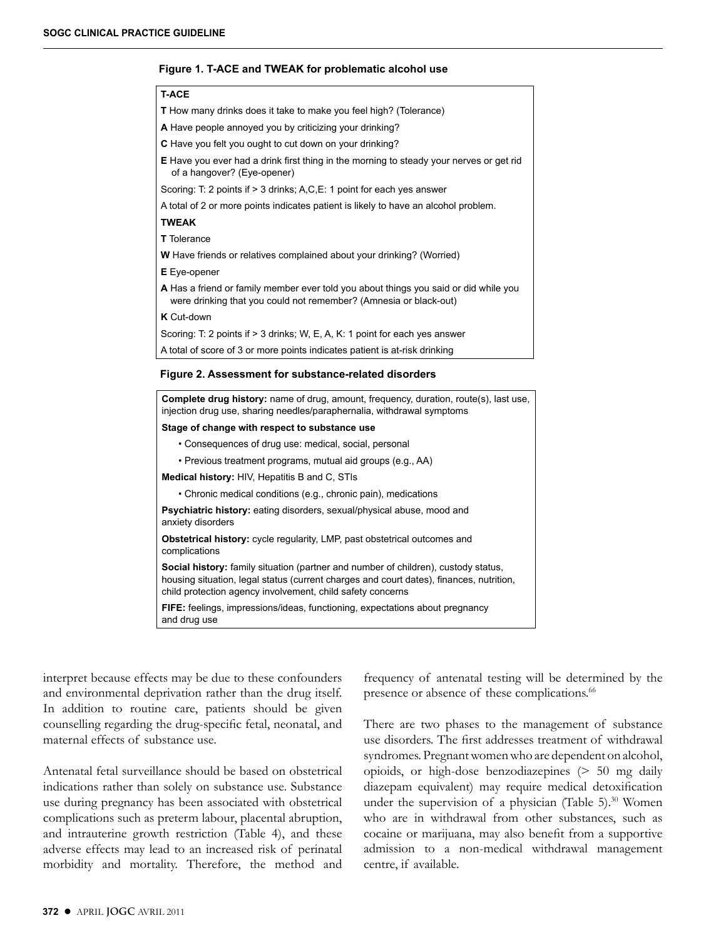#### **Figure 1. T-ACE and TWEAK for problematic alcohol use**

#### **T-ACE**

| <b>T</b> How many drinks does it take to make you feel high? (Tolerance)                                                                                  |
|-----------------------------------------------------------------------------------------------------------------------------------------------------------|
| A Have people annoyed you by criticizing your drinking?                                                                                                   |
| C Have you felt you ought to cut down on your drinking?                                                                                                   |
| <b>E</b> Have you ever had a drink first thing in the morning to steady your nerves or get rid<br>of a hangover? (Eye-opener)                             |
| Scoring: T: 2 points if > 3 drinks; A,C,E: 1 point for each yes answer                                                                                    |
| A total of 2 or more points indicates patient is likely to have an alcohol problem.                                                                       |
| <b>TWEAK</b>                                                                                                                                              |
| <b>T</b> Tolerance                                                                                                                                        |
| W Have friends or relatives complained about your drinking? (Worried)                                                                                     |
| <b>E</b> Eye-opener                                                                                                                                       |
| A Has a friend or family member ever told you about things you said or did while you<br>were drinking that you could not remember? (Amnesia or black-out) |
| <b>K</b> Cut-down                                                                                                                                         |
| Scoring: T: 2 points if > 3 drinks; W, E, A, K: 1 point for each yes answer                                                                               |
| A total of score of 3 or more points indicates patient is at-risk drinking                                                                                |
|                                                                                                                                                           |

**Figure 2. Assessment for substance-related disorders**

| <b>Complete drug history:</b> name of drug, amount, frequency, duration, route(s), last use,<br>injection drug use, sharing needles/paraphernalia, withdrawal symptoms                                                                             |
|----------------------------------------------------------------------------------------------------------------------------------------------------------------------------------------------------------------------------------------------------|
| Stage of change with respect to substance use                                                                                                                                                                                                      |
| • Consequences of drug use: medical, social, personal                                                                                                                                                                                              |
| • Previous treatment programs, mutual aid groups (e.g., AA)                                                                                                                                                                                        |
| <b>Medical history:</b> HIV, Hepatitis B and C, STIs                                                                                                                                                                                               |
| • Chronic medical conditions (e.g., chronic pain), medications                                                                                                                                                                                     |
| <b>Psychiatric history:</b> eating disorders, sexual/physical abuse, mood and<br>anxiety disorders                                                                                                                                                 |
| <b>Obstetrical history:</b> cycle regularity, LMP, past obstetrical outcomes and<br>complications                                                                                                                                                  |
| <b>Social history:</b> family situation (partner and number of children), custody status,<br>housing situation, legal status (current charges and court dates), finances, nutrition,<br>child protection agency involvement, child safety concerns |
| <b>FIFE:</b> feelings, impressions/ideas, functioning, expectations about pregnancy<br>and drug use                                                                                                                                                |

interpret because effects may be due to these confounders and environmental deprivation rather than the drug itself. In addition to routine care, patients should be given counselling regarding the drug-specific fetal, neonatal, and maternal effects of substance use.

Antenatal fetal surveillance should be based on obstetrical indications rather than solely on substance use. Substance use during pregnancy has been associated with obstetrical complications such as preterm labour, placental abruption, and intrauterine growth restriction (Table 4), and these adverse effects may lead to an increased risk of perinatal morbidity and mortality. Therefore, the method and

frequency of antenatal testing will be determined by the presence or absence of these complications.<sup>66</sup>

There are two phases to the management of substance use disorders. The first addresses treatment of withdrawal syndromes. Pregnant women who are dependent on alcohol, opioids, or high-dose benzodiazepines (> 50 mg daily diazepam equivalent) may require medical detoxification under the supervision of a physician (Table 5). $30$  Women who are in withdrawal from other substances, such as cocaine or marijuana, may also benefit from a supportive admission to a non-medical withdrawal management centre, if available.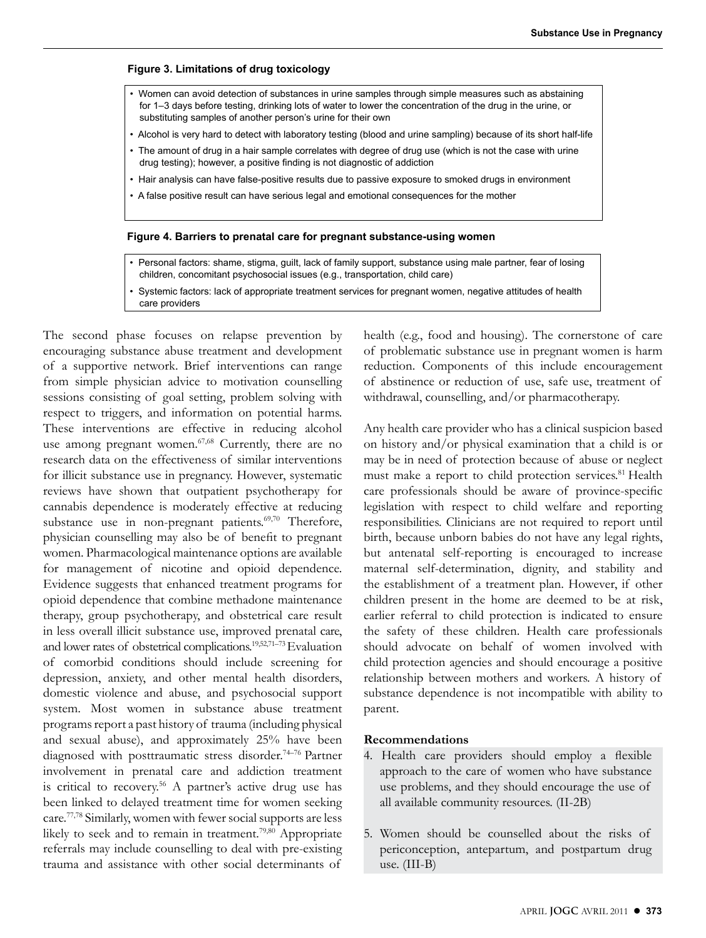#### **Figure 3. Limitations of drug toxicology**

- Women can avoid detection of substances in urine samples through simple measures such as abstaining for 1–3 days before testing, drinking lots of water to lower the concentration of the drug in the urine, or substituting samples of another person's urine for their own
- Alcohol is very hard to detect with laboratory testing (blood and urine sampling) because of its short half-life
- The amount of drug in a hair sample correlates with degree of drug use (which is not the case with urine drug testing); however, a positive finding is not diagnostic of addiction
- Hair analysis can have false-positive results due to passive exposure to smoked drugs in environment
- A false positive result can have serious legal and emotional consequences for the mother

#### **Figure 4. Barriers to prenatal care for pregnant substance-using women**

- Personal factors: shame, stigma, guilt, lack of family support, substance using male partner, fear of losing children, concomitant psychosocial issues (e.g., transportation, child care)
- Systemic factors: lack of appropriate treatment services for pregnant women, negative attitudes of health care providers

The second phase focuses on relapse prevention by encouraging substance abuse treatment and development of a supportive network. Brief interventions can range from simple physician advice to motivation counselling sessions consisting of goal setting, problem solving with respect to triggers, and information on potential harms. These interventions are effective in reducing alcohol use among pregnant women.<sup>67,68</sup> Currently, there are no research data on the effectiveness of similar interventions for illicit substance use in pregnancy. However, systematic reviews have shown that outpatient psychotherapy for cannabis dependence is moderately effective at reducing substance use in non-pregnant patients.<sup>69,70</sup> Therefore, physician counselling may also be of benefit to pregnant women. Pharmacological maintenance options are available for management of nicotine and opioid dependence. Evidence suggests that enhanced treatment programs for opioid dependence that combine methadone maintenance therapy, group psychotherapy, and obstetrical care result in less overall illicit substance use, improved prenatal care, and lower rates of obstetrical complications.19,52,71–73 Evaluation of comorbid conditions should include screening for depression, anxiety, and other mental health disorders, domestic violence and abuse, and psychosocial support system. Most women in substance abuse treatment programs report a past history of trauma (including physical and sexual abuse), and approximately 25% have been diagnosed with posttraumatic stress disorder.<sup>74-76</sup> Partner involvement in prenatal care and addiction treatment is critical to recovery.<sup>56</sup> A partner's active drug use has been linked to delayed treatment time for women seeking care.77,78 Similarly, women with fewer social supports are less likely to seek and to remain in treatment.<sup>79,80</sup> Appropriate referrals may include counselling to deal with pre-existing trauma and assistance with other social determinants of

health (e.g., food and housing). The cornerstone of care of problematic substance use in pregnant women is harm reduction. Components of this include encouragement of abstinence or reduction of use, safe use, treatment of withdrawal, counselling, and/or pharmacotherapy.

Any health care provider who has a clinical suspicion based on history and/or physical examination that a child is or may be in need of protection because of abuse or neglect must make a report to child protection services.<sup>81</sup> Health care professionals should be aware of province-specific legislation with respect to child welfare and reporting responsibilities. Clinicians are not required to report until birth, because unborn babies do not have any legal rights, but antenatal self-reporting is encouraged to increase maternal self-determination, dignity, and stability and the establishment of a treatment plan. However, if other children present in the home are deemed to be at risk, earlier referral to child protection is indicated to ensure the safety of these children. Health care professionals should advocate on behalf of women involved with child protection agencies and should encourage a positive relationship between mothers and workers. A history of substance dependence is not incompatible with ability to parent.

#### **Recommendations**

- 4. Health care providers should employ a flexible approach to the care of women who have substance use problems, and they should encourage the use of all available community resources. (II-2B)
- 5. Women should be counselled about the risks of periconception, antepartum, and postpartum drug use. (III-B)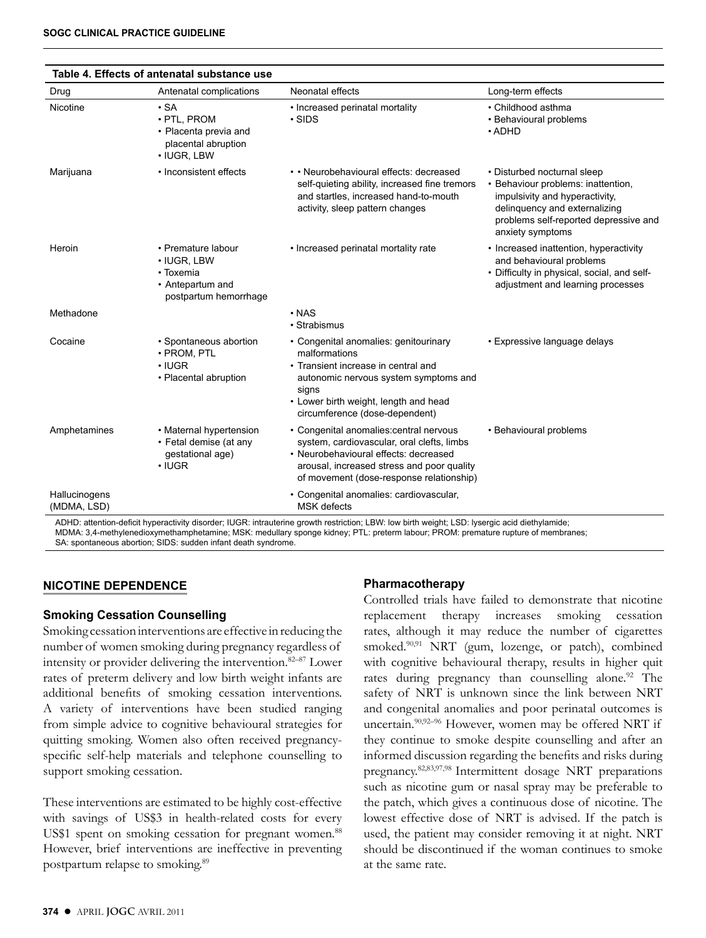| Table 4. Effects of antenatal substance use |                                                                                                   |                                                                                                                                                                                                                            |                                                                                                                                                                                                   |  |
|---------------------------------------------|---------------------------------------------------------------------------------------------------|----------------------------------------------------------------------------------------------------------------------------------------------------------------------------------------------------------------------------|---------------------------------------------------------------------------------------------------------------------------------------------------------------------------------------------------|--|
| Drug                                        | Antenatal complications                                                                           | Neonatal effects                                                                                                                                                                                                           | Long-term effects                                                                                                                                                                                 |  |
| Nicotine                                    | $\cdot$ SA<br>· PTL, PROM<br>• Placenta previa and<br>placental abruption<br>· IUGR, LBW          | • Increased perinatal mortality<br>$\cdot$ SIDS                                                                                                                                                                            | • Childhood asthma<br>• Behavioural problems<br>$\cdot$ ADHD                                                                                                                                      |  |
| Marijuana                                   | • Inconsistent effects                                                                            | • • Neurobehavioural effects: decreased<br>self-quieting ability, increased fine tremors<br>and startles, increased hand-to-mouth<br>activity, sleep pattern changes                                                       | • Disturbed nocturnal sleep<br>· Behaviour problems: inattention,<br>impulsivity and hyperactivity,<br>delinquency and externalizing<br>problems self-reported depressive and<br>anxiety symptoms |  |
| Heroin                                      | • Premature labour<br>$\cdot$ IUGR, LBW<br>• Toxemia<br>• Antepartum and<br>postpartum hemorrhage | • Increased perinatal mortality rate                                                                                                                                                                                       | • Increased inattention, hyperactivity<br>and behavioural problems<br>• Difficulty in physical, social, and self-<br>adjustment and learning processes                                            |  |
| Methadone                                   |                                                                                                   | $\cdot$ NAS<br>• Strabismus                                                                                                                                                                                                |                                                                                                                                                                                                   |  |
| Cocaine                                     | • Spontaneous abortion<br>· PROM, PTL<br>$\cdot$ IUGR<br>• Placental abruption                    | • Congenital anomalies: genitourinary<br>malformations<br>• Transient increase in central and<br>autonomic nervous system symptoms and<br>signs<br>• Lower birth weight, length and head<br>circumference (dose-dependent) | • Expressive language delays                                                                                                                                                                      |  |
| Amphetamines                                | • Maternal hypertension<br>• Fetal demise (at any<br>gestational age)<br>$\cdot$ IUGR             | • Congenital anomalies: central nervous<br>system, cardiovascular, oral clefts, limbs<br>• Neurobehavioural effects: decreased<br>arousal, increased stress and poor quality<br>of movement (dose-response relationship)   | • Behavioural problems                                                                                                                                                                            |  |
| Hallucinogens<br>(MDMA, LSD)                |                                                                                                   | · Congenital anomalies: cardiovascular,<br><b>MSK</b> defects                                                                                                                                                              |                                                                                                                                                                                                   |  |

ADHD: attention-deficit hyperactivity disorder; IUGR: intrauterine growth restriction; LBW: low birth weight; LSD: lysergic acid diethylamide; MDMA: 3,4-methylenedioxymethamphetamine; MSK: medullary sponge kidney; PTL: preterm labour; PROM: premature rupture of membranes; SA: spontaneous abortion; SIDS: sudden infant death syndrome.

# **nicotine DEPENDENCE**

# **Smoking Cessation Counselling**

Smoking cessation interventions are effective in reducing the number of women smoking during pregnancy regardless of intensity or provider delivering the intervention.82–87 Lower rates of preterm delivery and low birth weight infants are additional benefits of smoking cessation interventions. A variety of interventions have been studied ranging from simple advice to cognitive behavioural strategies for quitting smoking. Women also often received pregnancyspecific self-help materials and telephone counselling to support smoking cessation.

These interventions are estimated to be highly cost-effective with savings of US\$3 in health-related costs for every US\$1 spent on smoking cessation for pregnant women.<sup>88</sup> However, brief interventions are ineffective in preventing postpartum relapse to smoking.89

# **Pharmacotherapy**

Controlled trials have failed to demonstrate that nicotine replacement therapy increases smoking cessation rates, although it may reduce the number of cigarettes smoked.<sup>90,91</sup> NRT (gum, lozenge, or patch), combined with cognitive behavioural therapy, results in higher quit rates during pregnancy than counselling alone.<sup>92</sup> The safety of NRT is unknown since the link between NRT and congenital anomalies and poor perinatal outcomes is uncertain.<sup>90,92-96</sup> However, women may be offered NRT if they continue to smoke despite counselling and after an informed discussion regarding the benefits and risks during pregnancy.82,83,97,98 Intermittent dosage NRT preparations such as nicotine gum or nasal spray may be preferable to the patch, which gives a continuous dose of nicotine. The lowest effective dose of NRT is advised. If the patch is used, the patient may consider removing it at night. NRT should be discontinued if the woman continues to smoke at the same rate.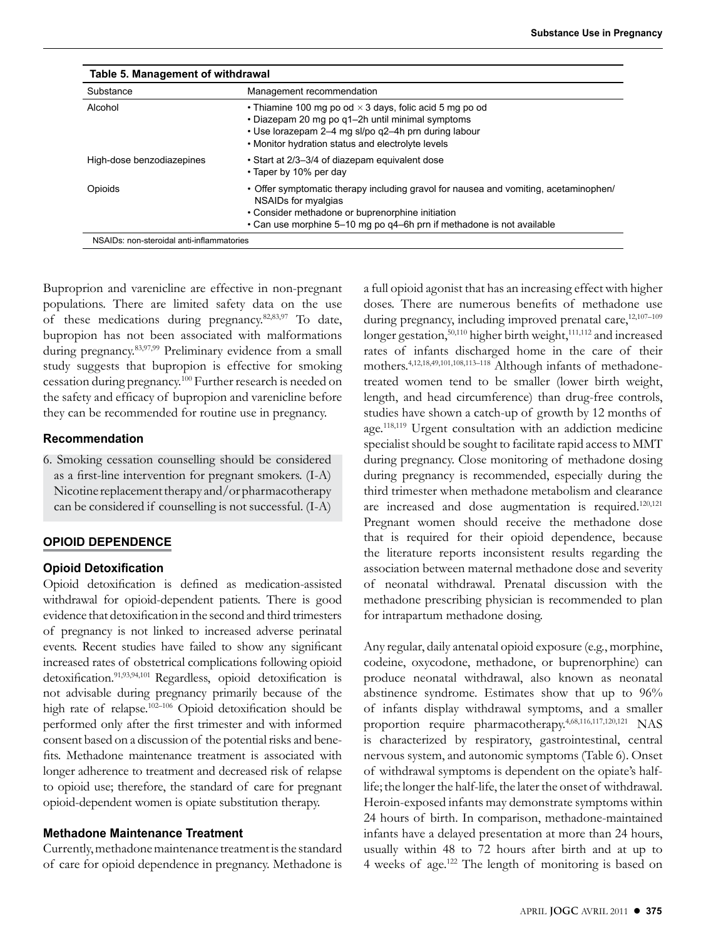| Substance                 | Management recommendation                                                                                                                                                                                                                |  |  |
|---------------------------|------------------------------------------------------------------------------------------------------------------------------------------------------------------------------------------------------------------------------------------|--|--|
| Alcohol                   | • Thiamine 100 mg po od $\times$ 3 days, folic acid 5 mg po od<br>. Diazepam 20 mg po q1-2h until minimal symptoms<br>• Use lorazepam 2-4 mg sl/po q2-4h prn during labour<br>. Monitor hydration status and electrolyte levels          |  |  |
| High-dose benzodiazepines | • Start at 2/3-3/4 of diazepam equivalent dose<br>• Taper by 10% per day                                                                                                                                                                 |  |  |
| Opioids                   | • Offer symptomatic therapy including gravol for nausea and vomiting, acetaminophen/<br>NSAIDs for myalgias<br>• Consider methadone or buprenorphine initiation<br>• Can use morphine 5-10 mg po q4-6h prn if methadone is not available |  |  |

Buproprion and varenicline are effective in non-pregnant populations. There are limited safety data on the use of these medications during pregnancy.82,83,97 To date, bupropion has not been associated with malformations during pregnancy.83,97,99 Preliminary evidence from a small study suggests that bupropion is effective for smoking cessation during pregnancy.100 Further research is needed on the safety and efficacy of bupropion and varenicline before they can be recommended for routine use in pregnancy.

# **Recommendation**

6. Smoking cessation counselling should be considered as a first-line intervention for pregnant smokers. (I-A) Nicotine replacement therapy and/or pharmacotherapy can be considered if counselling is not successful. (I-A)

#### **OPIOID DEPENDENCE**

#### **Opioid Detoxification**

Opioid detoxification is defined as medication-assisted withdrawal for opioid-dependent patients. There is good evidence that detoxification in the second and third trimesters of pregnancy is not linked to increased adverse perinatal events. Recent studies have failed to show any significant increased rates of obstetrical complications following opioid detoxification.<sup>91,93,94,101</sup> Regardless, opioid detoxification is not advisable during pregnancy primarily because of the high rate of relapse.<sup>102-106</sup> Opioid detoxification should be performed only after the first trimester and with informed consent based on a discussion of the potential risks and benefits. Methadone maintenance treatment is associated with longer adherence to treatment and decreased risk of relapse to opioid use; therefore, the standard of care for pregnant opioid-dependent women is opiate substitution therapy.

# **Methadone Maintenance Treatment**

Currently, methadone maintenance treatment is the standard of care for opioid dependence in pregnancy. Methadone is a full opioid agonist that has an increasing effect with higher doses. There are numerous benefits of methadone use during pregnancy, including improved prenatal care,<sup>12,107-109</sup> longer gestation,<sup>50,110</sup> higher birth weight,<sup>111,112</sup> and increased rates of infants discharged home in the care of their mothers.4,12,18,49,101,108,113–118 Although infants of methadonetreated women tend to be smaller (lower birth weight, length, and head circumference) than drug-free controls, studies have shown a catch-up of growth by 12 months of age.118,119 Urgent consultation with an addiction medicine specialist should be sought to facilitate rapid access to MMT during pregnancy. Close monitoring of methadone dosing during pregnancy is recommended, especially during the third trimester when methadone metabolism and clearance are increased and dose augmentation is required.<sup>120,121</sup> Pregnant women should receive the methadone dose that is required for their opioid dependence, because the literature reports inconsistent results regarding the association between maternal methadone dose and severity of neonatal withdrawal. Prenatal discussion with the methadone prescribing physician is recommended to plan for intrapartum methadone dosing.

Any regular, daily antenatal opioid exposure (e.g., morphine, codeine, oxycodone, methadone, or buprenorphine) can produce neonatal withdrawal, also known as neonatal abstinence syndrome. Estimates show that up to 96% of infants display withdrawal symptoms, and a smaller proportion require pharmacotherapy.4,68,116,117,120,121 NAS is characterized by respiratory, gastrointestinal, central nervous system, and autonomic symptoms (Table 6). Onset of withdrawal symptoms is dependent on the opiate's halflife; the longer the half-life, the later the onset of withdrawal. Heroin-exposed infants may demonstrate symptoms within 24 hours of birth. In comparison, methadone-maintained infants have a delayed presentation at more than 24 hours, usually within 48 to 72 hours after birth and at up to 4 weeks of age.122 The length of monitoring is based on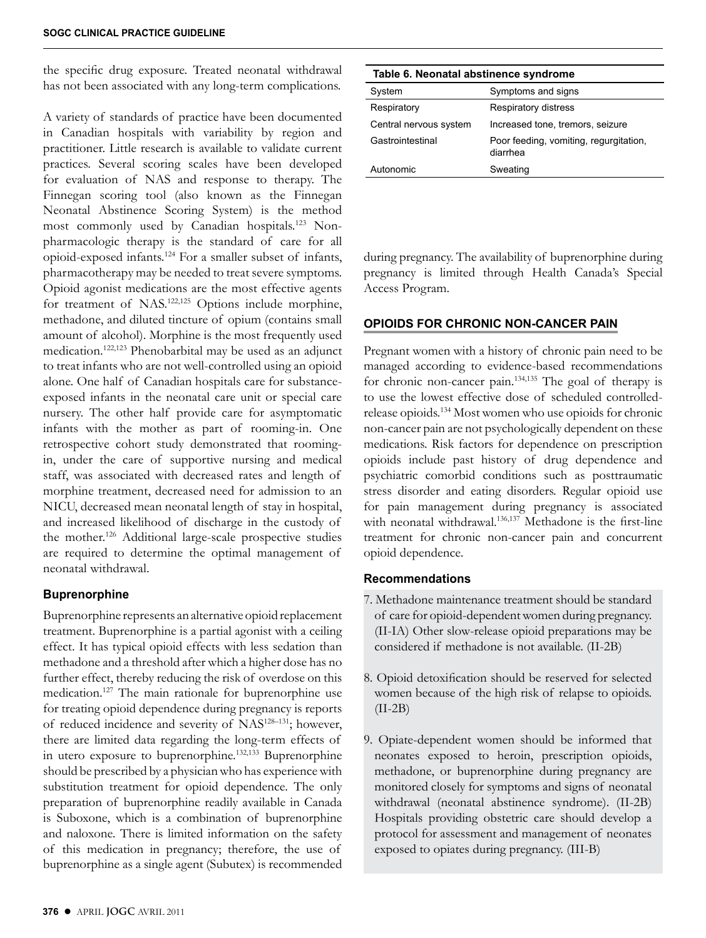the specific drug exposure. Treated neonatal withdrawal has not been associated with any long-term complications.

A variety of standards of practice have been documented in Canadian hospitals with variability by region and practitioner. Little research is available to validate current practices. Several scoring scales have been developed for evaluation of NAS and response to therapy. The Finnegan scoring tool (also known as the Finnegan Neonatal Abstinence Scoring System) is the method most commonly used by Canadian hospitals.123 Nonpharmacologic therapy is the standard of care for all opioid-exposed infants.124 For a smaller subset of infants, pharmacotherapy may be needed to treat severe symptoms. Opioid agonist medications are the most effective agents for treatment of NAS.122,125 Options include morphine, methadone, and diluted tincture of opium (contains small amount of alcohol). Morphine is the most frequently used medication.122,123 Phenobarbital may be used as an adjunct to treat infants who are not well-controlled using an opioid alone. One half of Canadian hospitals care for substanceexposed infants in the neonatal care unit or special care nursery. The other half provide care for asymptomatic infants with the mother as part of rooming-in. One retrospective cohort study demonstrated that roomingin, under the care of supportive nursing and medical staff, was associated with decreased rates and length of morphine treatment, decreased need for admission to an NICU, decreased mean neonatal length of stay in hospital, and increased likelihood of discharge in the custody of the mother.126 Additional large-scale prospective studies are required to determine the optimal management of neonatal withdrawal.

# **Buprenorphine**

Buprenorphine represents an alternative opioid replacement treatment. Buprenorphine is a partial agonist with a ceiling effect. It has typical opioid effects with less sedation than methadone and a threshold after which a higher dose has no further effect, thereby reducing the risk of overdose on this medication.127 The main rationale for buprenorphine use for treating opioid dependence during pregnancy is reports of reduced incidence and severity of NAS128–131; however, there are limited data regarding the long-term effects of in utero exposure to buprenorphine.<sup>132,133</sup> Buprenorphine should be prescribed by a physician who has experience with substitution treatment for opioid dependence. The only preparation of buprenorphine readily available in Canada is Suboxone, which is a combination of buprenorphine and naloxone. There is limited information on the safety of this medication in pregnancy; therefore, the use of buprenorphine as a single agent (Subutex) is recommended

| Table 6. Neonatal abstinence syndrome |                                                    |  |  |
|---------------------------------------|----------------------------------------------------|--|--|
| System                                | Symptoms and signs                                 |  |  |
| Respiratory                           | Respiratory distress                               |  |  |
| Central nervous system                | Increased tone, tremors, seizure                   |  |  |
| Gastrointestinal                      | Poor feeding, vomiting, regurgitation,<br>diarrhea |  |  |
| Autonomic<br>Sweating                 |                                                    |  |  |

during pregnancy. The availability of buprenorphine during pregnancy is limited through Health Canada's Special Access Program.

# **OPIOIDS FOR CHRONIC NON-CANCER PAIN**

Pregnant women with a history of chronic pain need to be managed according to evidence-based recommendations for chronic non-cancer pain.134,135 The goal of therapy is to use the lowest effective dose of scheduled controlledrelease opioids.134 Most women who use opioids for chronic non-cancer pain are not psychologically dependent on these medications. Risk factors for dependence on prescription opioids include past history of drug dependence and psychiatric comorbid conditions such as posttraumatic stress disorder and eating disorders. Regular opioid use for pain management during pregnancy is associated with neonatal withdrawal.<sup>136,137</sup> Methadone is the first-line treatment for chronic non-cancer pain and concurrent opioid dependence.

# **Recommendations**

- 7. Methadone maintenance treatment should be standard of care for opioid-dependent women during pregnancy. (II-IA) Other slow-release opioid preparations may be considered if methadone is not available. (II-2B)
- 8. Opioid detoxification should be reserved for selected women because of the high risk of relapse to opioids. (II-2B)
- 9. Opiate-dependent women should be informed that neonates exposed to heroin, prescription opioids, methadone, or buprenorphine during pregnancy are monitored closely for symptoms and signs of neonatal withdrawal (neonatal abstinence syndrome). (II-2B) Hospitals providing obstetric care should develop a protocol for assessment and management of neonates exposed to opiates during pregnancy. (III-B)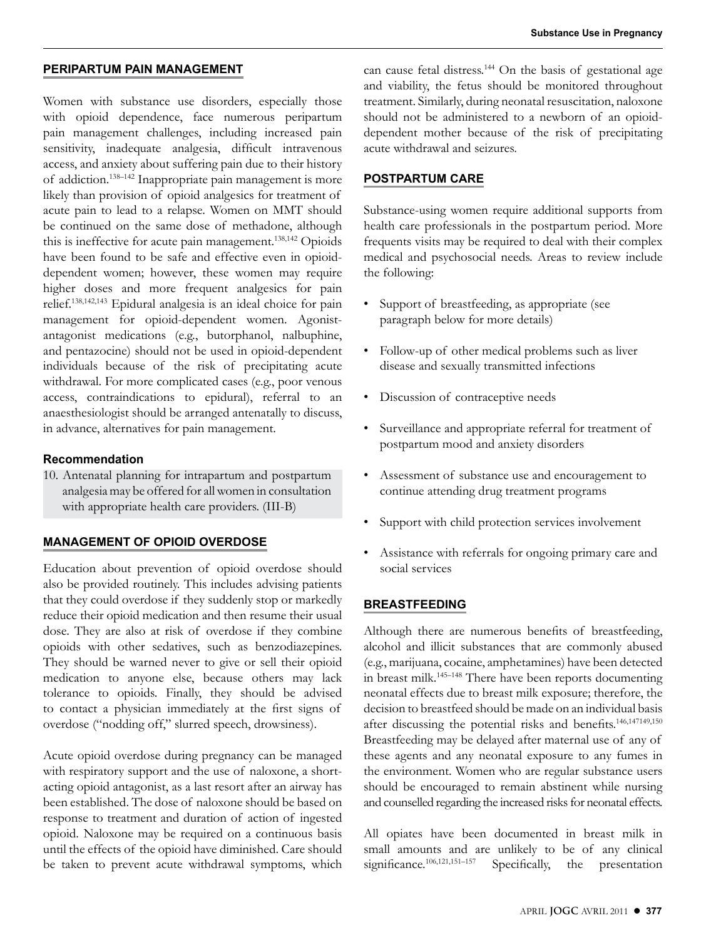#### **PERIPARTUM PAIN MANAGEMENT**

Women with substance use disorders, especially those with opioid dependence, face numerous peripartum pain management challenges, including increased pain sensitivity, inadequate analgesia, difficult intravenous access, and anxiety about suffering pain due to their history of addiction.138–142 Inappropriate pain management is more likely than provision of opioid analgesics for treatment of acute pain to lead to a relapse. Women on MMT should be continued on the same dose of methadone, although this is ineffective for acute pain management.<sup>138,142</sup> Opioids have been found to be safe and effective even in opioiddependent women; however, these women may require higher doses and more frequent analgesics for pain relief.138,142,143 Epidural analgesia is an ideal choice for pain management for opioid-dependent women. Agonistantagonist medications (e.g., butorphanol, nalbuphine, and pentazocine) should not be used in opioid-dependent individuals because of the risk of precipitating acute withdrawal. For more complicated cases (e.g., poor venous access, contraindications to epidural), referral to an anaesthesiologist should be arranged antenatally to discuss, in advance, alternatives for pain management.

# **Recommendation**

10. Antenatal planning for intrapartum and postpartum analgesia may be offered for all women in consultation with appropriate health care providers. (III-B)

# **MANAGEMENT OF OPIOID OVERDOSE**

Education about prevention of opioid overdose should also be provided routinely. This includes advising patients that they could overdose if they suddenly stop or markedly reduce their opioid medication and then resume their usual dose. They are also at risk of overdose if they combine opioids with other sedatives, such as benzodiazepines. They should be warned never to give or sell their opioid medication to anyone else, because others may lack tolerance to opioids. Finally, they should be advised to contact a physician immediately at the first signs of overdose ("nodding off," slurred speech, drowsiness).

Acute opioid overdose during pregnancy can be managed with respiratory support and the use of naloxone, a shortacting opioid antagonist, as a last resort after an airway has been established. The dose of naloxone should be based on response to treatment and duration of action of ingested opioid. Naloxone may be required on a continuous basis until the effects of the opioid have diminished. Care should be taken to prevent acute withdrawal symptoms, which

can cause fetal distress.<sup>144</sup> On the basis of gestational age and viability, the fetus should be monitored throughout treatment. Similarly, during neonatal resuscitation, naloxone should not be administered to a newborn of an opioiddependent mother because of the risk of precipitating acute withdrawal and seizures.

# **POSTPARTUM CARE**

Substance-using women require additional supports from health care professionals in the postpartum period. More frequents visits may be required to deal with their complex medical and psychosocial needs. Areas to review include the following:

- Support of breastfeeding, as appropriate (see paragraph below for more details)
- Follow-up of other medical problems such as liver disease and sexually transmitted infections
- Discussion of contraceptive needs
- Surveillance and appropriate referral for treatment of postpartum mood and anxiety disorders
- Assessment of substance use and encouragement to continue attending drug treatment programs
- Support with child protection services involvement
- Assistance with referrals for ongoing primary care and social services

# **BREASTFEEDING**

Although there are numerous benefits of breastfeeding, alcohol and illicit substances that are commonly abused (e.g., marijuana, cocaine, amphetamines) have been detected in breast milk.145–148 There have been reports documenting neonatal effects due to breast milk exposure; therefore, the decision to breastfeed should be made on an individual basis after discussing the potential risks and benefits.146,147149,150 Breastfeeding may be delayed after maternal use of any of these agents and any neonatal exposure to any fumes in the environment. Women who are regular substance users should be encouraged to remain abstinent while nursing and counselled regarding the increased risks for neonatal effects.

All opiates have been documented in breast milk in small amounts and are unlikely to be of any clinical significance.<sup>106,121,151–157</sup> Specifically, the presentation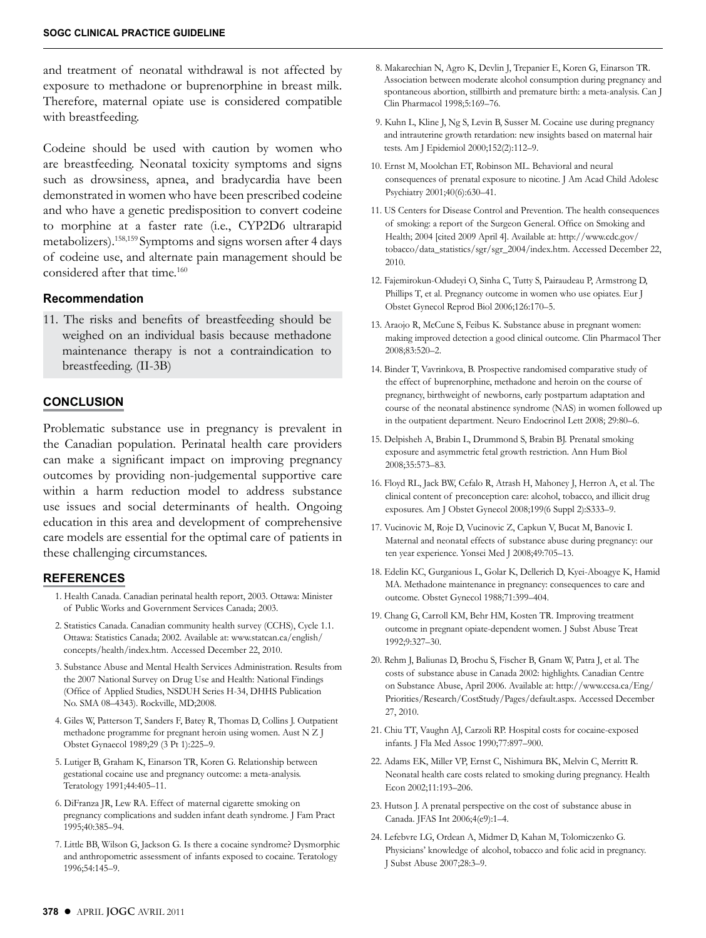and treatment of neonatal withdrawal is not affected by exposure to methadone or buprenorphine in breast milk. Therefore, maternal opiate use is considered compatible with breastfeeding.

Codeine should be used with caution by women who are breastfeeding. Neonatal toxicity symptoms and signs such as drowsiness, apnea, and bradycardia have been demonstrated in women who have been prescribed codeine and who have a genetic predisposition to convert codeine to morphine at a faster rate (i.e., CYP2D6 ultrarapid metabolizers).158,159 Symptoms and signs worsen after 4 days of codeine use, and alternate pain management should be considered after that time.160

# **Recommendation**

11. The risks and benefits of breastfeeding should be weighed on an individual basis because methadone maintenance therapy is not a contraindication to breastfeeding. (II-3B)

# **CONCLUSION**

Problematic substance use in pregnancy is prevalent in the Canadian population. Perinatal health care providers can make a significant impact on improving pregnancy outcomes by providing non-judgemental supportive care within a harm reduction model to address substance use issues and social determinants of health. Ongoing education in this area and development of comprehensive care models are essential for the optimal care of patients in these challenging circumstances.

#### **REFERENCES**

- 1. Health Canada. Canadian perinatal health report, 2003. Ottawa: Minister of Public Works and Government Services Canada; 2003.
- 2. Statistics Canada. Canadian community health survey (CCHS), Cycle 1.1. Ottawa: Statistics Canada; 2002. Available at: www.statcan.ca/english/ concepts/health/index.htm. Accessed December 22, 2010.
- 3. Substance Abuse and Mental Health Services Administration. Results from the 2007 National Survey on Drug Use and Health: National Findings (Office of Applied Studies, NSDUH Series H-34, DHHS Publication No. SMA 08–4343). Rockville, MD;2008.
- 4. Giles W, Patterson T, Sanders F, Batey R, Thomas D, Collins J. Outpatient methadone programme for pregnant heroin using women. Aust N Z J Obstet Gynaecol 1989;29 (3 Pt 1):225–9.
- 5. Lutiger B, Graham K, Einarson TR, Koren G. Relationship between gestational cocaine use and pregnancy outcome: a meta-analysis. Teratology 1991;44:405–11.
- 6. DiFranza JR, Lew RA. Effect of maternal cigarette smoking on pregnancy complications and sudden infant death syndrome. J Fam Pract 1995;40:385–94.
- 7. Little BB, Wilson G, Jackson G. Is there a cocaine syndrome? Dysmorphic and anthropometric assessment of infants exposed to cocaine. Teratology 1996;54:145–9.
- 8. Makarechian N, Agro K, Devlin J, Trepanier E, Koren G, Einarson TR. Association between moderate alcohol consumption during pregnancy and spontaneous abortion, stillbirth and premature birth: a meta-analysis. Can J Clin Pharmacol 1998;5:169–76.
- 9. Kuhn L, Kline J, Ng S, Levin B, Susser M. Cocaine use during pregnancy and intrauterine growth retardation: new insights based on maternal hair tests. Am J Epidemiol 2000;152(2):112–9.
- 10. Ernst M, Moolchan ET, Robinson ML. Behavioral and neural consequences of prenatal exposure to nicotine. J Am Acad Child Adolesc Psychiatry 2001;40(6):630–41.
- 11. US Centers for Disease Control and Prevention. The health consequences of smoking: a report of the Surgeon General. Office on Smoking and Health; 2004 [cited 2009 April 4]. Available at: http://www.cdc.gov/ tobacco/data\_statistics/sgr/sgr\_2004/index.htm. Accessed December 22, 2010.
- 12. Fajemirokun-Odudeyi O, Sinha C, Tutty S, Pairaudeau P, Armstrong D, Phillips T, et al. Pregnancy outcome in women who use opiates. Eur J Obstet Gynecol Reprod Biol 2006;126:170–5.
- 13. Araojo R, McCune S, Feibus K. Substance abuse in pregnant women: making improved detection a good clinical outcome. Clin Pharmacol Ther 2008;83:520–2.
- 14. Binder T, Vavrinkova, B. Prospective randomised comparative study of the effect of buprenorphine, methadone and heroin on the course of pregnancy, birthweight of newborns, early postpartum adaptation and course of the neonatal abstinence syndrome (NAS) in women followed up in the outpatient department. Neuro Endocrinol Lett 2008; 29:80–6.
- 15. Delpisheh A, Brabin L, Drummond S, Brabin BJ. Prenatal smoking exposure and asymmetric fetal growth restriction. Ann Hum Biol 2008;35:573–83.
- 16. Floyd RL, Jack BW, Cefalo R, Atrash H, Mahoney J, Herron A, et al. The clinical content of preconception care: alcohol, tobacco, and illicit drug exposures. Am J Obstet Gynecol 2008;199(6 Suppl 2):S333–9.
- 17. Vucinovic M, Roje D, Vucinovic Z, Capkun V, Bucat M, Banovic I. Maternal and neonatal effects of substance abuse during pregnancy: our ten year experience. Yonsei Med J 2008;49:705–13.
- 18. Edelin KC, Gurganious L, Golar K, Dellerich D, Kyei-Aboagye K, Hamid MA. Methadone maintenance in pregnancy: consequences to care and outcome. Obstet Gynecol 1988;71:399–404.
- 19. Chang G, Carroll KM, Behr HM, Kosten TR. Improving treatment outcome in pregnant opiate-dependent women. J Subst Abuse Treat 1992;9:327–30.
- 20. Rehm J, Baliunas D, Brochu S, Fischer B, Gnam W, Patra J, et al. The costs of substance abuse in Canada 2002: highlights. Canadian Centre on Substance Abuse, April 2006. Available at: http://www.ccsa.ca/Eng/ Priorities/Research/CostStudy/Pages/default.aspx. Accessed December 27, 2010.
- 21. Chiu TT, Vaughn AJ, Carzoli RP. Hospital costs for cocaine-exposed infants. J Fla Med Assoc 1990;77:897–900.
- 22. Adams EK, Miller VP, Ernst C, Nishimura BK, Melvin C, Merritt R. Neonatal health care costs related to smoking during pregnancy. Health Econ 2002;11:193–206.
- 23. Hutson J. A prenatal perspective on the cost of substance abuse in Canada. JFAS Int 2006;4(e9):1–4.
- 24. Lefebvre LG, Ordean A, Midmer D, Kahan M, Tolomiczenko G. Physicians' knowledge of alcohol, tobacco and folic acid in pregnancy. J Subst Abuse 2007;28:3–9.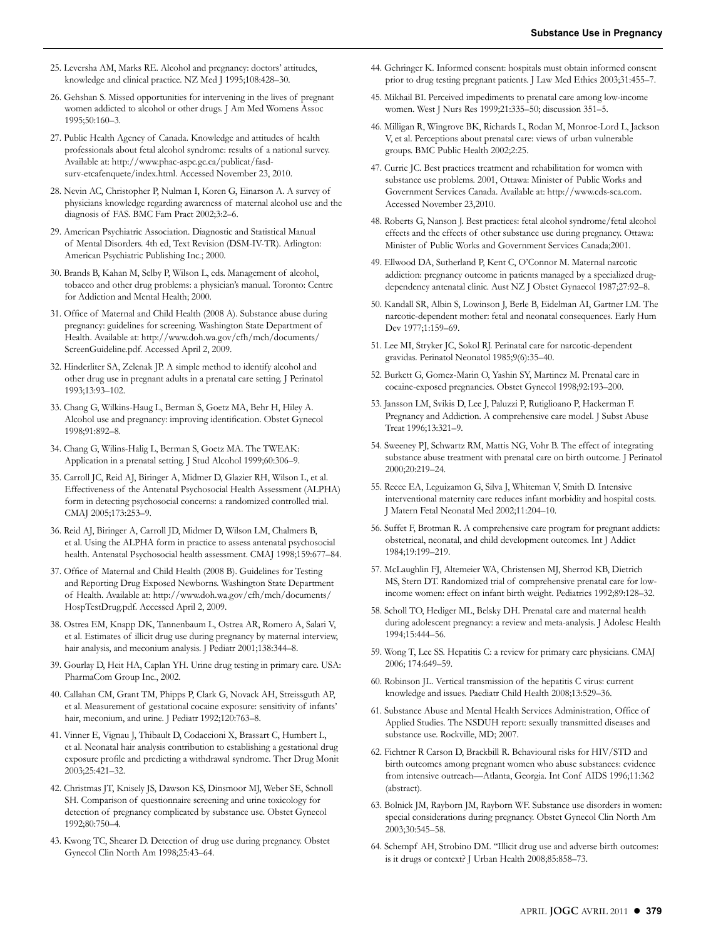- 25. Leversha AM, Marks RE. Alcohol and pregnancy: doctors' attitudes, knowledge and clinical practice. NZ Med J 1995;108:428–30.
- 26. Gehshan S. Missed opportunities for intervening in the lives of pregnant women addicted to alcohol or other drugs. J Am Med Womens Assoc 1995;50:160–3.
- 27. Public Health Agency of Canada. Knowledge and attitudes of health professionals about fetal alcohol syndrome: results of a national survey. Available at: http://www.phac-aspc.gc.ca/publicat/fasdsurv-etcafenquete/index.html. Accessed November 23, 2010.
- 28. Nevin AC, Christopher P, Nulman I, Koren G, Einarson A. A survey of physicians knowledge regarding awareness of maternal alcohol use and the diagnosis of FAS. BMC Fam Pract 2002;3:2–6.
- 29. American Psychiatric Association. Diagnostic and Statistical Manual of Mental Disorders. 4th ed, Text Revision (DSM-IV-TR). Arlington: American Psychiatric Publishing Inc.; 2000.
- 30. Brands B, Kahan M, Selby P, Wilson L, eds. Management of alcohol, tobacco and other drug problems: a physician's manual. Toronto: Centre for Addiction and Mental Health; 2000.
- 31. Office of Maternal and Child Health (2008 A). Substance abuse during pregnancy: guidelines for screening. Washington State Department of Health. Available at: http://www.doh.wa.gov/cfh/mch/documents/ ScreenGuideline.pdf. Accessed April 2, 2009.
- 32. Hinderliter SA, Zelenak JP. A simple method to identify alcohol and other drug use in pregnant adults in a prenatal care setting. J Perinatol 1993;13:93–102.
- 33. Chang G, Wilkins-Haug L, Berman S, Goetz MA, Behr H, Hiley A. Alcohol use and pregnancy: improving identification. Obstet Gynecol 1998;91:892–8.
- 34. Chang G, Wilins-Halig L, Berman S, Goetz MA. The TWEAK: Application in a prenatal setting. J Stud Alcohol 1999;60:306–9.
- 35. Carroll JC, Reid AJ, Biringer A, Midmer D, Glazier RH, Wilson L, et al. Effectiveness of the Antenatal Psychosocial Health Assessment (ALPHA) form in detecting psychosocial concerns: a randomized controlled trial. CMAJ 2005;173:253–9.
- 36. Reid AJ, Biringer A, Carroll JD, Midmer D, Wilson LM, Chalmers B, et al. Using the ALPHA form in practice to assess antenatal psychosocial health. Antenatal Psychosocial health assessment. CMAJ 1998;159:677–84.
- 37. Office of Maternal and Child Health (2008 B). Guidelines for Testing and Reporting Drug Exposed Newborns. Washington State Department of Health. Available at: http://www.doh.wa.gov/cfh/mch/documents/ HospTestDrug.pdf. Accessed April 2, 2009.
- 38. Ostrea EM, Knapp DK, Tannenbaum L, Ostrea AR, Romero A, Salari V, et al. Estimates of illicit drug use during pregnancy by maternal interview, hair analysis, and meconium analysis. J Pediatr 2001;138:344–8.
- 39. Gourlay D, Heit HA, Caplan YH. Urine drug testing in primary care. USA: PharmaCom Group Inc., 2002.
- 40. Callahan CM, Grant TM, Phipps P, Clark G, Novack AH, Streissguth AP, et al. Measurement of gestational cocaine exposure: sensitivity of infants' hair, meconium, and urine. J Pediatr 1992;120:763–8.
- 41. Vinner E, Vignau J, Thibault D, Codaccioni X, Brassart C, Humbert L, et al. Neonatal hair analysis contribution to establishing a gestational drug exposure profile and predicting a withdrawal syndrome. Ther Drug Monit 2003;25:421–32.
- 42. Christmas JT, Knisely JS, Dawson KS, Dinsmoor MJ, Weber SE, Schnoll SH. Comparison of questionnaire screening and urine toxicology for detection of pregnancy complicated by substance use. Obstet Gynecol 1992;80:750–4.
- 43. Kwong TC, Shearer D. Detection of drug use during pregnancy. Obstet Gynecol Clin North Am 1998;25:43–64.
- 44. Gehringer K. Informed consent: hospitals must obtain informed consent prior to drug testing pregnant patients. J Law Med Ethics 2003;31:455–7.
- 45. Mikhail BI. Perceived impediments to prenatal care among low-income women. West J Nurs Res 1999;21:335–50; discussion 351–5.
- 46. Milligan R, Wingrove BK, Richards L, Rodan M, Monroe-Lord L, Jackson V, et al. Perceptions about prenatal care: views of urban vulnerable groups. BMC Public Health 2002;2:25.
- 47. Currie JC. Best practices treatment and rehabilitation for women with substance use problems. 2001, Ottawa: Minister of Public Works and Government Services Canada. Available at: http://www.cds-sca.com. Accessed November 23,2010.
- 48. Roberts G, Nanson J. Best practices: fetal alcohol syndrome/fetal alcohol effects and the effects of other substance use during pregnancy. Ottawa: Minister of Public Works and Government Services Canada;2001.
- 49. Ellwood DA, Sutherland P, Kent C, O'Connor M. Maternal narcotic addiction: pregnancy outcome in patients managed by a specialized drugdependency antenatal clinic. Aust NZ J Obstet Gynaecol 1987;27:92–8.
- 50. Kandall SR, Albin S, Lowinson J, Berle B, Eidelman AI, Gartner LM. The narcotic-dependent mother: fetal and neonatal consequences. Early Hum Dev 1977;1:159–69.
- 51. Lee MI, Stryker JC, Sokol RJ. Perinatal care for narcotic-dependent gravidas. Perinatol Neonatol 1985;9(6):35–40.
- 52. Burkett G, Gomez-Marin O, Yashin SY, Martinez M. Prenatal care in cocaine-exposed pregnancies. Obstet Gynecol 1998;92:193–200.
- 53. Jansson LM, Svikis D, Lee J, Paluzzi P, Rutiglioano P, Hackerman F. Pregnancy and Addiction. A comprehensive care model. J Subst Abuse Treat 1996;13:321–9.
- 54. Sweeney PJ, Schwartz RM, Mattis NG, Vohr B. The effect of integrating substance abuse treatment with prenatal care on birth outcome. J Perinatol 2000;20:219–24.
- 55. Reece EA, Leguizamon G, Silva J, Whiteman V, Smith D. Intensive interventional maternity care reduces infant morbidity and hospital costs. J Matern Fetal Neonatal Med 2002;11:204–10.
- 56. Suffet F, Brotman R. A comprehensive care program for pregnant addicts: obstetrical, neonatal, and child development outcomes. Int J Addict 1984;19:199–219.
- 57. McLaughlin FJ, Altemeier WA, Christensen MJ, Sherrod KB, Dietrich MS, Stern DT. Randomized trial of comprehensive prenatal care for lowincome women: effect on infant birth weight. Pediatrics 1992;89:128–32.
- 58. Scholl TO, Hediger ML, Belsky DH. Prenatal care and maternal health during adolescent pregnancy: a review and meta-analysis. J Adolesc Health 1994;15:444–56.
- 59. Wong T, Lee SS. Hepatitis C: a review for primary care physicians. CMAJ 2006; 174:649–59.
- 60. Robinson JL. Vertical transmission of the hepatitis C virus: current knowledge and issues. Paediatr Child Health 2008;13:529–36.
- 61. Substance Abuse and Mental Health Services Administration, Office of Applied Studies. The NSDUH report: sexually transmitted diseases and substance use. Rockville, MD; 2007.
- 62. Fichtner R Carson D, Brackbill R. Behavioural risks for HIV/STD and birth outcomes among pregnant women who abuse substances: evidence from intensive outreach—Atlanta, Georgia. Int Conf AIDS 1996;11:362 (abstract).
- 63. Bolnick JM, Rayborn JM, Rayborn WF. Substance use disorders in women: special considerations during pregnancy. Obstet Gynecol Clin North Am 2003;30:545–58.
- 64. Schempf AH, Strobino DM. "Illicit drug use and adverse birth outcomes: is it drugs or context? J Urban Health 2008;85:858–73.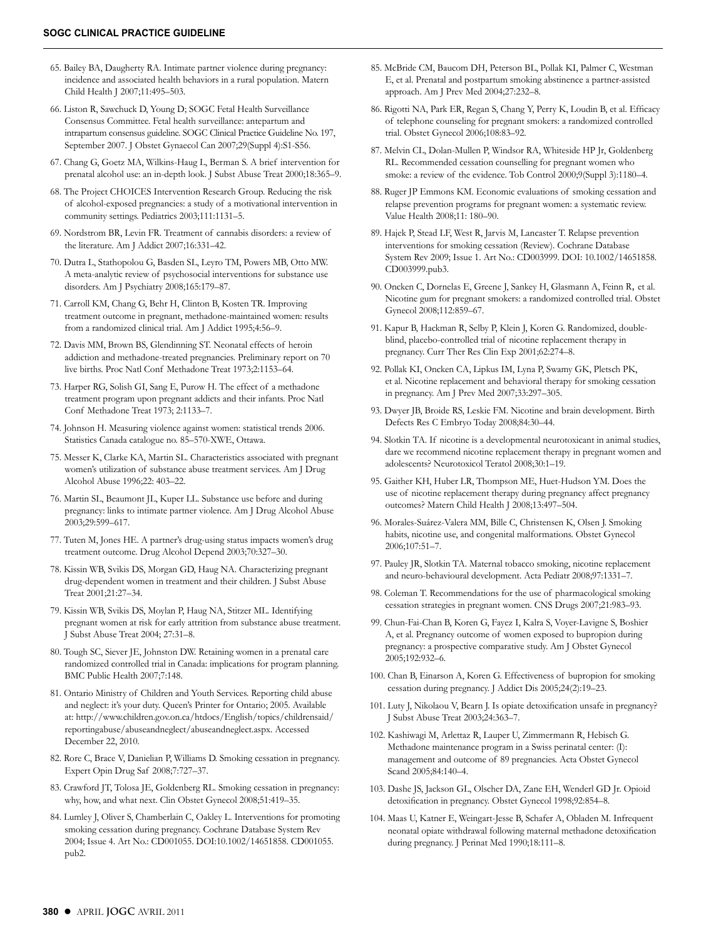- 65. Bailey BA, Daugherty RA. Intimate partner violence during pregnancy: incidence and associated health behaviors in a rural population. Matern Child Health J 2007;11:495–503.
- 66. Liston R, Sawchuck D, Young D; SOGC Fetal Health Surveillance Consensus Committee. Fetal health surveillance: antepartum and intrapartum consensus guideline. SOGC Clinical Practice Guideline No. 197, September 2007. J Obstet Gynaecol Can 2007;29(Suppl 4):S1-S56.
- 67. Chang G, Goetz MA, Wilkins-Haug L, Berman S. A brief intervention for prenatal alcohol use: an in-depth look. J Subst Abuse Treat 2000;18:365–9.
- 68. The Project CHOICES Intervention Research Group. Reducing the risk of alcohol-exposed pregnancies: a study of a motivational intervention in community settings. Pediatrics 2003;111:1131–5.
- 69. Nordstrom BR, Levin FR. Treatment of cannabis disorders: a review of the literature. Am J Addict 2007;16:331–42.
- 70. Dutra L, Stathopolou G, Basden SL, Leyro TM, Powers MB, Otto MW. A meta-analytic review of psychosocial interventions for substance use disorders. Am J Psychiatry 2008;165:179–87.
- 71. Carroll KM, Chang G, Behr H, Clinton B, Kosten TR. Improving treatment outcome in pregnant, methadone-maintained women: results from a randomized clinical trial. Am J Addict 1995;4:56–9.
- 72. Davis MM, Brown BS, Glendinning ST. Neonatal effects of heroin addiction and methadone-treated pregnancies. Preliminary report on 70 live births. Proc Natl Conf Methadone Treat 1973;2:1153–64.
- 73. Harper RG, Solish GI, Sang E, Purow H. The effect of a methadone treatment program upon pregnant addicts and their infants. Proc Natl Conf Methadone Treat 1973; 2:1133–7.
- 74. Johnson H. Measuring violence against women: statistical trends 2006. Statistics Canada catalogue no. 85–570-XWE, Ottawa.
- 75. Messer K, Clarke KA, Martin SL. Characteristics associated with pregnant women's utilization of substance abuse treatment services. Am J Drug Alcohol Abuse 1996;22: 403–22.
- 76. Martin SL, Beaumont JL, Kuper LL. Substance use before and during pregnancy: links to intimate partner violence. Am J Drug Alcohol Abuse 2003;29:599–617.
- 77. Tuten M, Jones HE. A partner's drug-using status impacts women's drug treatment outcome. Drug Alcohol Depend 2003;70:327–30.
- 78. Kissin WB, Svikis DS, Morgan GD, Haug NA. Characterizing pregnant drug-dependent women in treatment and their children. J Subst Abuse Treat 2001;21:27–34.
- 79. Kissin WB, Svikis DS, Moylan P, Haug NA, Stitzer ML. Identifying pregnant women at risk for early attrition from substance abuse treatment. J Subst Abuse Treat 2004; 27:31–8.
- 80. Tough SC, Siever JE, Johnston DW. Retaining women in a prenatal care randomized controlled trial in Canada: implications for program planning. BMC Public Health 2007;7:148.
- 81. Ontario Ministry of Children and Youth Services. Reporting child abuse and neglect: it's your duty. Queen's Printer for Ontario; 2005. Available at: http://www.children.gov.on.ca/htdocs/English/topics/childrensaid/ reportingabuse/abuseandneglect/abuseandneglect.aspx. Accessed December 22, 2010.
- 82. Rore C, Brace V, Danielian P, Williams D. Smoking cessation in pregnancy. Expert Opin Drug Saf 2008;7:727–37.
- 83. Crawford JT, Tolosa JE, Goldenberg RL. Smoking cessation in pregnancy: why, how, and what next. Clin Obstet Gynecol 2008;51:419–35.
- 84. Lumley J, Oliver S, Chamberlain C, Oakley L. Interventions for promoting smoking cessation during pregnancy. Cochrane Database System Rev 2004; Issue 4. Art No.: CD001055. DOI:10.1002/14651858. CD001055. pub2.
- 85. McBride CM, Baucom DH, Peterson BL, Pollak KI, Palmer C, Westman E, et al. Prenatal and postpartum smoking abstinence a partner-assisted approach. Am J Prev Med 2004;27:232–8.
- 86. Rigotti NA, Park ER, Regan S, Chang Y, Perry K, Loudin B, et al. Efficacy of telephone counseling for pregnant smokers: a randomized controlled trial. Obstet Gynecol 2006;108:83–92.
- 87. Melvin CL, Dolan-Mullen P, Windsor RA, Whiteside HP Jr, Goldenberg RL. Recommended cessation counselling for pregnant women who smoke: a review of the evidence. Tob Control 2000;9(Suppl 3):1180–4.
- 88. Ruger JP Emmons KM. Economic evaluations of smoking cessation and relapse prevention programs for pregnant women: a systematic review. Value Health 2008;11: 180–90.
- 89. Hajek P, Stead LF, West R, Jarvis M, Lancaster T. Relapse prevention interventions for smoking cessation (Review). Cochrane Database System Rev 2009; Issue 1. Art No.: CD003999. DOI: 10.1002/14651858. CD003999.pub3.
- 90. Oncken C, Dornelas E, Greene J, Sankey H, Glasmann A, Feinn R, et al. Nicotine gum for pregnant smokers: a randomized controlled trial. Obstet Gynecol 2008;112:859–67.
- 91. Kapur B, Hackman R, Selby P, Klein J, Koren G. Randomized, doubleblind, placebo-controlled trial of nicotine replacement therapy in pregnancy. Curr Ther Res Clin Exp 2001;62:274–8.
- 92. Pollak KI, Oncken CA, Lipkus IM, Lyna P, Swamy GK, Pletsch PK, et al. Nicotine replacement and behavioral therapy for smoking cessation in pregnancy. Am J Prev Med 2007;33:297–305.
- 93. Dwyer JB, Broide RS, Leskie FM. Nicotine and brain development. Birth Defects Res C Embryo Today 2008;84:30–44.
- 94. Slotkin TA. If nicotine is a developmental neurotoxicant in animal studies, dare we recommend nicotine replacement therapy in pregnant women and adolescents? Neurotoxicol Teratol 2008;30:1–19.
- 95. Gaither KH, Huber LR, Thompson ME, Huet-Hudson YM. Does the use of nicotine replacement therapy during pregnancy affect pregnancy outcomes? Matern Child Health J 2008;13:497–504.
- 96. Morales-Suárez-Valera MM, Bille C, Christensen K, Olsen J. Smoking habits, nicotine use, and congenital malformations. Obstet Gynecol 2006;107:51–7.
- 97. Pauley JR, Slotkin TA. Maternal tobacco smoking, nicotine replacement and neuro-behavioural development. Acta Pediatr 2008;97:1331–7.
- 98. Coleman T. Recommendations for the use of pharmacological smoking cessation strategies in pregnant women. CNS Drugs 2007;21:983–93.
- 99. Chun-Fai-Chan B, Koren G, Fayez I, Kalra S, Voyer-Lavigne S, Boshier A, et al. Pregnancy outcome of women exposed to bupropion during pregnancy: a prospective comparative study. Am J Obstet Gynecol 2005;192:932–6.
- 100. Chan B, Einarson A, Koren G. Effectiveness of bupropion for smoking cessation during pregnancy. J Addict Dis 2005;24(2):19–23.
- 101. Luty J, Nikolaou V, Bearn J. Is opiate detoxification unsafe in pregnancy? J Subst Abuse Treat 2003;24:363–7.
- 102. Kashiwagi M, Arlettaz R, Lauper U, Zimmermann R, Hebisch G. Methadone maintenance program in a Swiss perinatal center: (I): management and outcome of 89 pregnancies. Acta Obstet Gynecol Scand 2005;84:140–4.
- 103. Dashe JS, Jackson GL, Olscher DA, Zane EH, Wenderl GD Jr. Opioid detoxification in pregnancy. Obstet Gynecol 1998;92:854–8.
- 104. Maas U, Katner E, Weingart-Jesse B, Schafer A, Obladen M. Infrequent neonatal opiate withdrawal following maternal methadone detoxification during pregnancy. J Perinat Med 1990;18:111–8.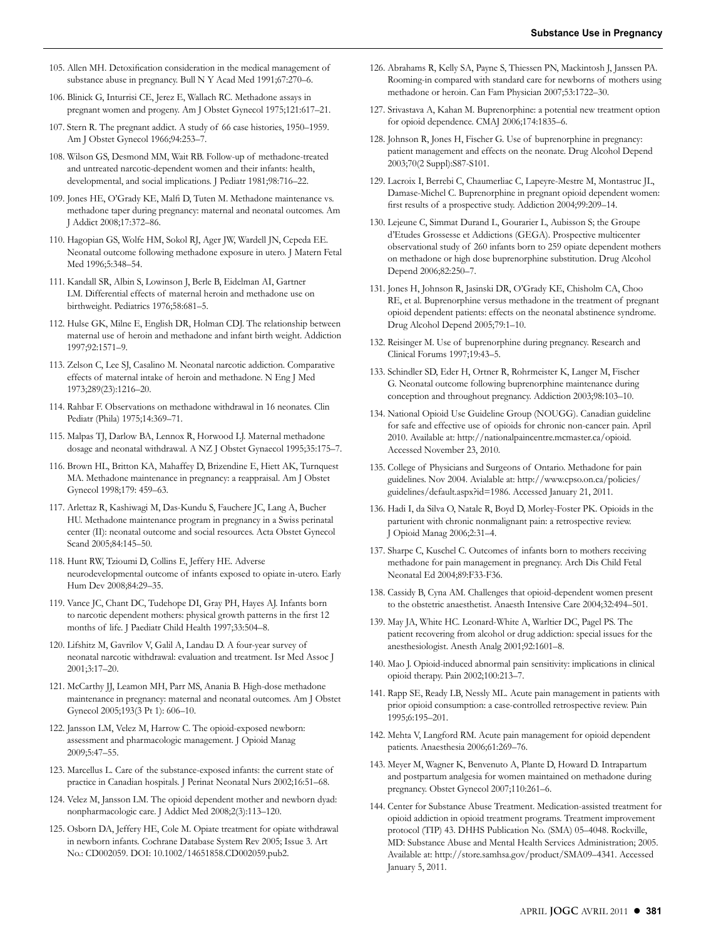- 105. Allen MH. Detoxification consideration in the medical management of substance abuse in pregnancy. Bull N Y Acad Med 1991;67:270–6.
- 106. Blinick G, Inturrisi CE, Jerez E, Wallach RC. Methadone assays in pregnant women and progeny. Am J Obstet Gynecol 1975;121:617–21.
- 107. Stern R. The pregnant addict. A study of 66 case histories, 1950–1959. Am J Obstet Gynecol 1966;94:253–7.
- 108. Wilson GS, Desmond MM, Wait RB. Follow-up of methadone-treated and untreated narcotic-dependent women and their infants: health, developmental, and social implications. J Pediatr 1981;98:716–22.
- 109. Jones HE, O'Grady KE, Malfi D, Tuten M. Methadone maintenance vs. methadone taper during pregnancy: maternal and neonatal outcomes. Am J Addict 2008;17:372–86.
- 110. Hagopian GS, Wolfe HM, Sokol RJ, Ager JW, Wardell JN, Cepeda EE. Neonatal outcome following methadone exposure in utero. J Matern Fetal Med 1996;5:348–54.
- 111. Kandall SR, Albin S, Lowinson J, Berle B, Eidelman AI, Gartner LM. Differential effects of maternal heroin and methadone use on birthweight. Pediatrics 1976;58:681–5.
- 112. Hulse GK, Milne E, English DR, Holman CDJ. The relationship between maternal use of heroin and methadone and infant birth weight. Addiction 1997;92:1571–9.
- 113. Zelson C, Lee SJ, Casalino M. Neonatal narcotic addiction. Comparative effects of maternal intake of heroin and methadone. N Eng J Med 1973;289(23):1216–20.
- 114. Rahbar F. Observations on methadone withdrawal in 16 neonates. Clin Pediatr (Phila) 1975;14:369–71.
- 115. Malpas TJ, Darlow BA, Lennox R, Horwood LJ. Maternal methadone dosage and neonatal withdrawal. A NZ J Obstet Gynaecol 1995;35:175–7.
- 116. Brown HL, Britton KA, Mahaffey D, Brizendine E, Hiett AK, Turnquest MA. Methadone maintenance in pregnancy: a reappraisal. Am J Obstet Gynecol 1998;179: 459–63.
- 117. Arlettaz R, Kashiwagi M, Das-Kundu S, Fauchere JC, Lang A, Bucher HU. Methadone maintenance program in pregnancy in a Swiss perinatal center (II): neonatal outcome and social resources. Acta Obstet Gynecol Scand 2005;84:145–50.
- 118. Hunt RW, Tzioumi D, Collins E, Jeffery HE. Adverse neurodevelopmental outcome of infants exposed to opiate in-utero. Early Hum Dev 2008;84:29–35.
- 119. Vance JC, Chant DC, Tudehope DI, Gray PH, Hayes AJ. Infants born to narcotic dependent mothers: physical growth patterns in the first 12 months of life. J Paediatr Child Health 1997;33:504–8.
- 120. Lifshitz M, Gavrilov V, Galil A, Landau D. A four-year survey of neonatal narcotic withdrawal: evaluation and treatment. Isr Med Assoc J 2001;3:17–20.
- 121. McCarthy JJ, Leamon MH, Parr MS, Anania B. High-dose methadone maintenance in pregnancy: maternal and neonatal outcomes. Am J Obstet Gynecol 2005;193(3 Pt 1): 606–10.
- 122. Jansson LM, Velez M, Harrow C. The opioid-exposed newborn: assessment and pharmacologic management. J Opioid Manag 2009;5:47–55.
- 123. Marcellus L. Care of the substance-exposed infants: the current state of practice in Canadian hospitals. J Perinat Neonatal Nurs 2002;16:51–68.
- 124. Velez M, Jansson LM. The opioid dependent mother and newborn dyad: nonpharmacologic care. J Addict Med 2008;2(3):113–120.
- 125. Osborn DA, Jeffery HE, Cole M. Opiate treatment for opiate withdrawal in newborn infants. Cochrane Database System Rev 2005; Issue 3. Art No.: CD002059. DOI: 10.1002/14651858.CD002059.pub2.
- 126. Abrahams R, Kelly SA, Payne S, Thiessen PN, Mackintosh J, Janssen PA. Rooming-in compared with standard care for newborns of mothers using methadone or heroin. Can Fam Physician 2007;53:1722–30.
- 127. Srivastava A, Kahan M. Buprenorphine: a potential new treatment option for opioid dependence. CMAJ 2006;174:1835–6.
- 128. Johnson R, Jones H, Fischer G. Use of buprenorphine in pregnancy: patient management and effects on the neonate. Drug Alcohol Depend 2003;70(2 Suppl):S87-S101.
- 129. Lacroix I, Berrebi C, Chaumerliac C, Lapeyre-Mestre M, Montastruc JL, Damase-Michel C. Buprenorphine in pregnant opioid dependent women: first results of a prospective study. Addiction 2004;99:209–14.
- 130. Lejeune C, Simmat Durand L, Gourarier L, Aubisson S; the Groupe d'Etudes Grossesse et Addictions (GEGA). Prospective multicenter observational study of 260 infants born to 259 opiate dependent mothers on methadone or high dose buprenorphine substitution. Drug Alcohol Depend 2006;82:250–7.
- 131. Jones H, Johnson R, Jasinski DR, O'Grady KE, Chisholm CA, Choo RE, et al. Buprenorphine versus methadone in the treatment of pregnant opioid dependent patients: effects on the neonatal abstinence syndrome. Drug Alcohol Depend 2005;79:1–10.
- 132. Reisinger M. Use of buprenorphine during pregnancy. Research and Clinical Forums 1997;19:43–5.
- 133. Schindler SD, Eder H, Ortner R, Rohrmeister K, Langer M, Fischer G. Neonatal outcome following buprenorphine maintenance during conception and throughout pregnancy. Addiction 2003;98:103–10.
- 134. National Opioid Use Guideline Group (NOUGG). Canadian guideline for safe and effective use of opioids for chronic non-cancer pain. April 2010. Available at: http://nationalpaincentre.mcmaster.ca/opioid. Accessed November 23, 2010.
- 135. College of Physicians and Surgeons of Ontario. Methadone for pain guidelines. Nov 2004. Avialable at: http://www.cpso.on.ca/policies/ guidelines/default.aspx?id=1986. Accessed January 21, 2011.
- 136. Hadi I, da Silva O, Natale R, Boyd D, Morley-Foster PK. Opioids in the parturient with chronic nonmalignant pain: a retrospective review. J Opioid Manag 2006;2:31–4.
- 137. Sharpe C, Kuschel C. Outcomes of infants born to mothers receiving methadone for pain management in pregnancy. Arch Dis Child Fetal Neonatal Ed 2004;89:F33-F36.
- 138. Cassidy B, Cyna AM. Challenges that opioid-dependent women present to the obstetric anaesthetist. Anaesth Intensive Care 2004;32:494–501.
- 139. May JA, White HC. Leonard-White A, Warltier DC, Pagel PS. The patient recovering from alcohol or drug addiction: special issues for the anesthesiologist. Anesth Analg 2001;92:1601–8.
- 140. Mao J. Opioid-induced abnormal pain sensitivity: implications in clinical opioid therapy. Pain 2002;100:213–7.
- 141. Rapp SE, Ready LB, Nessly ML. Acute pain management in patients with prior opioid consumption: a case-controlled retrospective review. Pain 1995;6:195–201.
- 142. Mehta V, Langford RM. Acute pain management for opioid dependent patients. Anaesthesia 2006;61:269–76.
- 143. Meyer M, Wagner K, Benvenuto A, Plante D, Howard D. Intrapartum and postpartum analgesia for women maintained on methadone during pregnancy. Obstet Gynecol 2007;110:261–6.
- 144. Center for Substance Abuse Treatment. Medication-assisted treatment for opioid addiction in opioid treatment programs. Treatment improvement protocol (TIP) 43. DHHS Publication No. (SMA) 05–4048. Rockville, MD: Substance Abuse and Mental Health Services Administration; 2005. Available at: http://store.samhsa.gov/product/SMA09–4341. Accessed January 5, 2011.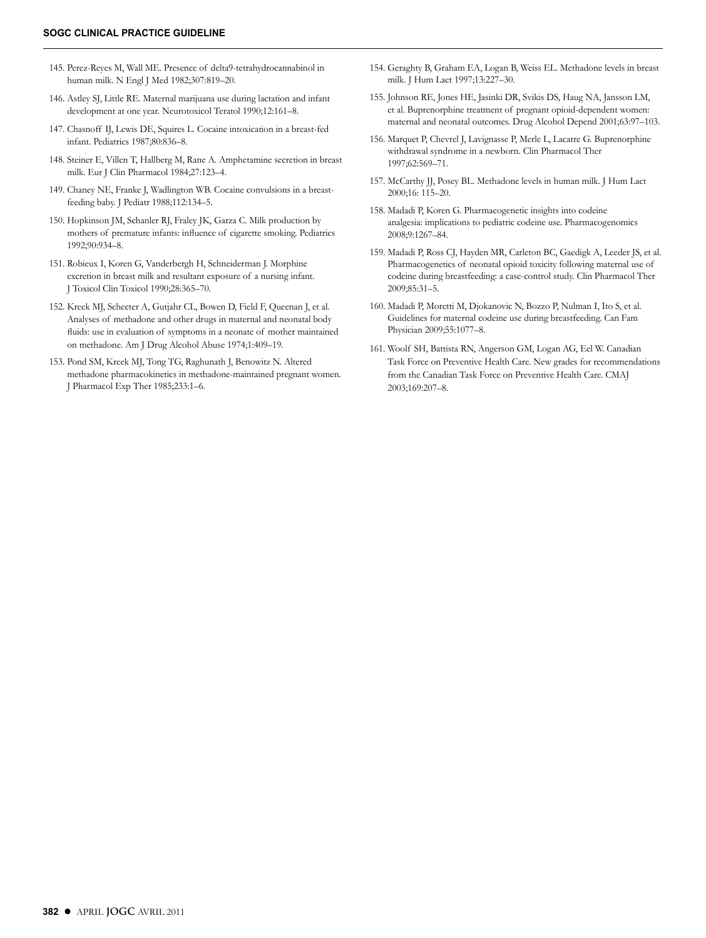- 145. Perez-Reyes M, Wall ME. Presence of delta9-tetrahydrocannabinol in human milk. N Engl J Med 1982;307:819–20.
- 146. Astley SJ, Little RE. Maternal marijuana use during lactation and infant development at one year. Neurotoxicol Teratol 1990;12:161–8.
- 147. Chasnoff IJ, Lewis DE, Squires L. Cocaine intoxication in a breast-fed infant. Pediatrics 1987;80:836–8.
- 148. Steiner E, Villen T, Hallberg M, Rane A. Amphetamine secretion in breast milk. Eur J Clin Pharmacol 1984;27:123–4.
- 149. Chaney NE, Franke J, Wadlington WB. Cocaine convulsions in a breastfeeding baby. J Pediatr 1988;112:134–5.
- 150. Hopkinson JM, Schanler RJ, Fraley JK, Garza C. Milk production by mothers of premature infants: influence of cigarette smoking. Pediatrics 1992;90:934–8.
- 151. Robieux I, Koren G, Vanderbergh H, Schneiderman J. Morphine excretion in breast milk and resultant exposure of a nursing infant. J Toxicol Clin Toxicol 1990;28:365–70.
- 152. Kreek MJ, Schecter A, Gutjahr CL, Bowen D, Field F, Queenan J, et al. Analyses of methadone and other drugs in maternal and neonatal body fluids: use in evaluation of symptoms in a neonate of mother maintained on methadone. Am J Drug Alcohol Abuse 1974;1:409–19.
- 153. Pond SM, Kreek MJ, Tong TG, Raghunath J, Benowitz N. Altered methadone pharmacokinetics in methadone-maintained pregnant women. J Pharmacol Exp Ther 1985;233:1–6.
- 154. Geraghty B, Graham EA, Logan B, Weiss EL. Methadone levels in breast milk. J Hum Lact 1997;13:227–30.
- 155. Johnson RE, Jones HE, Jasinki DR, Svikis DS, Haug NA, Jansson LM, et al. Buprenorphine treatment of pregnant opioid-dependent women: maternal and neonatal outcomes. Drug Alcohol Depend 2001;63:97–103.
- 156. Marquet P, Chevrel J, Lavignasse P, Merle L, Lacatre G. Buprenorphine withdrawal syndrome in a newborn. Clin Pharmacol Ther 1997;62:569–71.
- 157. McCarthy JJ, Posey BL. Methadone levels in human milk. J Hum Lact 2000;16: 115–20.
- 158. Madadi P, Koren G. Pharmacogenetic insights into codeine analgesia: implications to pediatric codeine use. Pharmacogenomics 2008;9:1267–84.
- 159. Madadi P, Ross CJ, Hayden MR, Carleton BC, Gaedigk A, Leeder JS, et al. Pharmacogenetics of neonatal opioid toxicity following maternal use of codeine during breastfeeding: a case-control study. Clin Pharmacol Ther 2009;85:31–5.
- 160. Madadi P, Moretti M, Djokanovic N, Bozzo P, Nulman I, Ito S, et al. Guidelines for maternal codeine use during breastfeeding. Can Fam Physician 2009;55:1077–8.
- 161. Woolf SH, Battista RN, Angerson GM, Logan AG, Eel W. Canadian Task Force on Preventive Health Care. New grades for recommendations from the Canadian Task Force on Preventive Health Care. CMAJ 2003;169:207–8.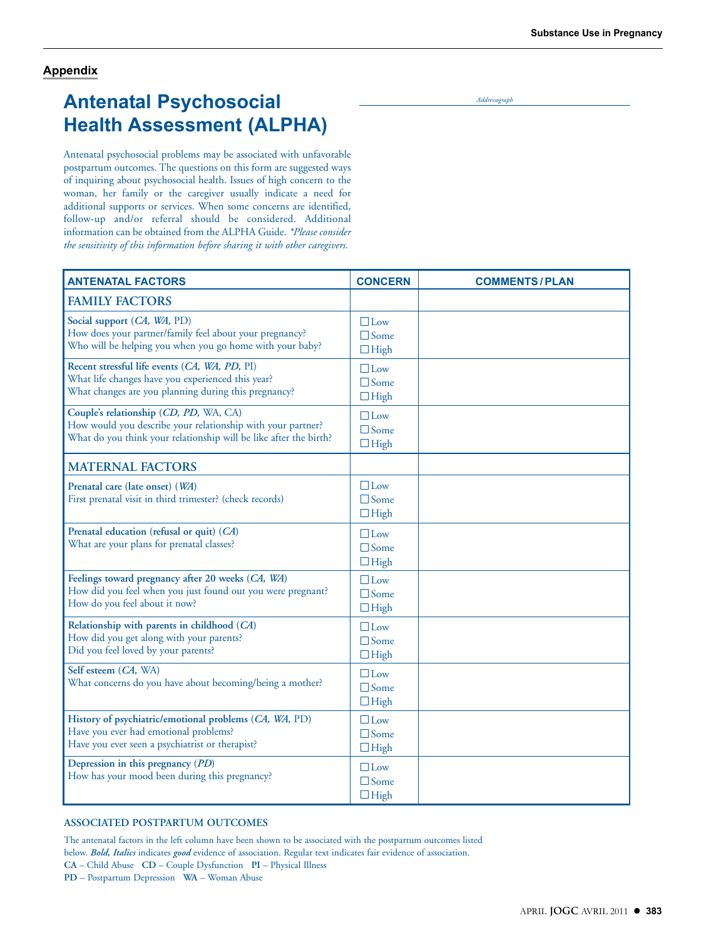# **Appendix**

# **Antenatal Psychosocial Health Assessment (ALPHA)**

Antenatal psychosocial problems may be associated with unfavorable postpartum outcomes. The questions on this form are suggested ways of inquiring about psychosocial health. Issues of high concern to the woman, her family or the caregiver usually indicate a need for additional supports or services. When some concerns are identified, follow-up and/or referral should be considered. Additional information can be obtained from the ALPHA Guide. *\*Please consider the sensitivity of this information before sharing it with other caregivers.*

| <b>ANTENATAL FACTORS</b>                                                                                                                                                   | <b>CONCERN</b>                              | <b>COMMENTS/PLAN</b> |
|----------------------------------------------------------------------------------------------------------------------------------------------------------------------------|---------------------------------------------|----------------------|
| <b>FAMILY FACTORS</b>                                                                                                                                                      |                                             |                      |
| Social support (CA, WA, PD)<br>How does your partner/family feel about your pregnancy?<br>Who will be helping you when you go home with your baby?                         | $\Box$ Low<br>$\square$ Some<br>$\Box$ High |                      |
| Recent stressful life events (CA, WA, PD, PI)<br>What life changes have you experienced this year?<br>What changes are you planning during this pregnancy?                 | $\Box$ Low<br>$\square$ Some<br>$\Box$ High |                      |
| Couple's relationship (CD, PD, WA, CA)<br>How would you describe your relationship with your partner?<br>What do you think your relationship will be like after the birth? | $\Box$ Low<br>$\square$ Some<br>$\Box$ High |                      |
| <b>MATERNAL FACTORS</b>                                                                                                                                                    |                                             |                      |
| Prenatal care (late onset) (WA)<br>First prenatal visit in third trimester? (check records)                                                                                | $\Box$ Low<br>$\square$ Some<br>$\Box$ High |                      |
| Prenatal education (refusal or quit) (CA)<br>What are your plans for prenatal classes?                                                                                     | $\Box$ Low<br>$\square$ Some<br>$\Box$ High |                      |
| Feelings toward pregnancy after 20 weeks (CA, WA)<br>How did you feel when you just found out you were pregnant?<br>How do you feel about it now?                          | $\Box$ Low<br>$\square$ Some<br>$\Box$ High |                      |
| Relationship with parents in childhood (CA)<br>How did you get along with your parents?<br>Did you feel loved by your parents?                                             | $\Box$ Low<br>$\square$ Some<br>$\Box$ High |                      |
| Self esteem (CA, WA)<br>What concerns do you have about becoming/being a mother?                                                                                           | $\Box$ Low<br>$\Box$ Some<br>$\Box$ High    |                      |
| History of psychiatric/emotional problems (CA, WA, PD)<br>Have you ever had emotional problems?<br>Have you ever seen a psychiatrist or therapist?                         | $\Box$ Low<br>$\Box$ Some<br>$\Box$ High    |                      |
| Depression in this pregnancy (PD)<br>How has your mood been during this pregnancy?                                                                                         | $\Box$ Low<br>$\square$ Some<br>$\Box$ High |                      |

#### **ASSOCIATED POSTPARTUM OUTCOMES**

The antenatal factors in the left column have been shown to be associated with the postpartum outcomes listed below. *Bold, Italics* indicates *good* evidence of association. Regular text indicates fair evidence of association.

- **CA** Child Abuse **CD** Couple Dysfunction **PI** Physical Illness
- **PD** Postpartum Depression **WA** Woman Abuse

*Addressograph*